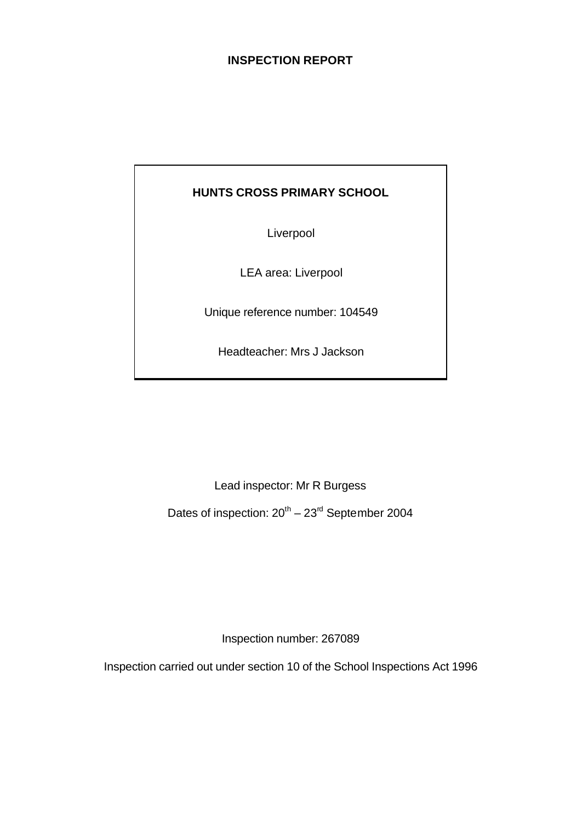# **INSPECTION REPORT**

# **HUNTS CROSS PRIMARY SCHOOL**

Liverpool

LEA area: Liverpool

Unique reference number: 104549

Headteacher: Mrs J Jackson

Lead inspector: Mr R Burgess

Dates of inspection:  $20^{th}$  –  $23^{rd}$  September 2004

Inspection number: 267089

Inspection carried out under section 10 of the School Inspections Act 1996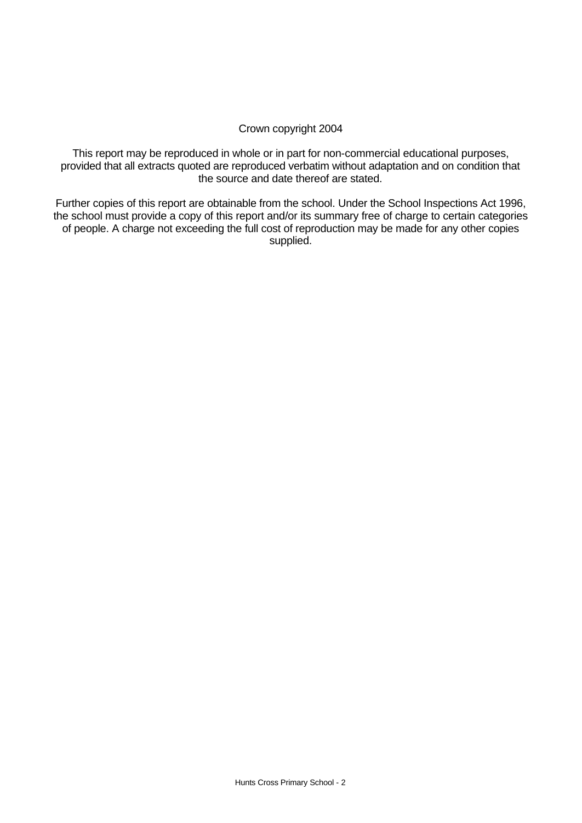#### Crown copyright 2004

This report may be reproduced in whole or in part for non-commercial educational purposes, provided that all extracts quoted are reproduced verbatim without adaptation and on condition that the source and date thereof are stated.

Further copies of this report are obtainable from the school. Under the School Inspections Act 1996, the school must provide a copy of this report and/or its summary free of charge to certain categories of people. A charge not exceeding the full cost of reproduction may be made for any other copies supplied.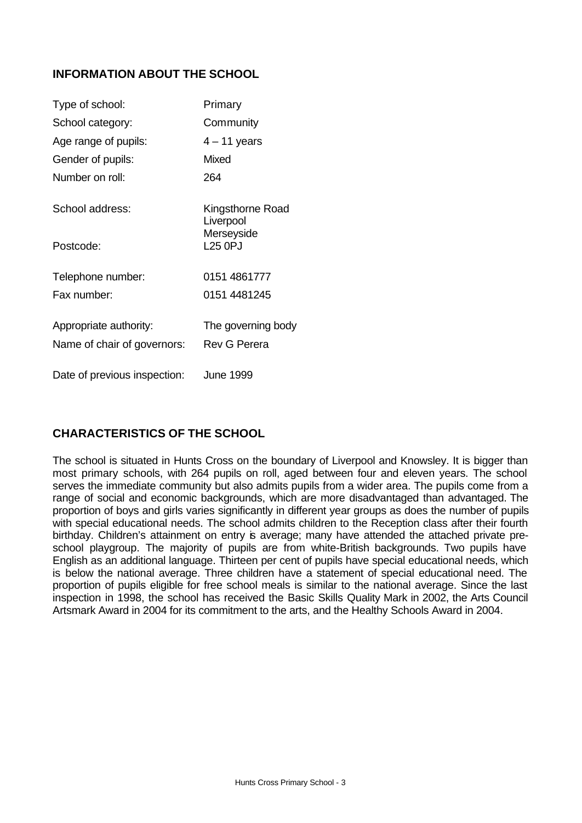# **INFORMATION ABOUT THE SCHOOL**

| Type of school:              | Primary                       |
|------------------------------|-------------------------------|
| School category:             | Community                     |
| Age range of pupils:         | $4 - 11$ years                |
| Gender of pupils:            | Mixed                         |
| Number on roll:              | 264                           |
| School address:              | Kingsthorne Road<br>Liverpool |
| Postcode:                    | Merseyside<br><b>L25 OPJ</b>  |
| Telephone number:            | 0151 4861777                  |
| Fax number:                  | 0151 4481245                  |
| Appropriate authority:       | The governing body            |
| Name of chair of governors:  | <b>Rev G Perera</b>           |
| Date of previous inspection: | June 1999                     |

# **CHARACTERISTICS OF THE SCHOOL**

The school is situated in Hunts Cross on the boundary of Liverpool and Knowsley. It is bigger than most primary schools, with 264 pupils on roll, aged between four and eleven years. The school serves the immediate community but also admits pupils from a wider area. The pupils come from a range of social and economic backgrounds, which are more disadvantaged than advantaged. The proportion of boys and girls varies significantly in different year groups as does the number of pupils with special educational needs. The school admits children to the Reception class after their fourth birthday. Children's attainment on entry is average; many have attended the attached private preschool playgroup. The majority of pupils are from white-British backgrounds. Two pupils have English as an additional language. Thirteen per cent of pupils have special educational needs, which is below the national average. Three children have a statement of special educational need. The proportion of pupils eligible for free school meals is similar to the national average. Since the last inspection in 1998, the school has received the Basic Skills Quality Mark in 2002, the Arts Council Artsmark Award in 2004 for its commitment to the arts, and the Healthy Schools Award in 2004.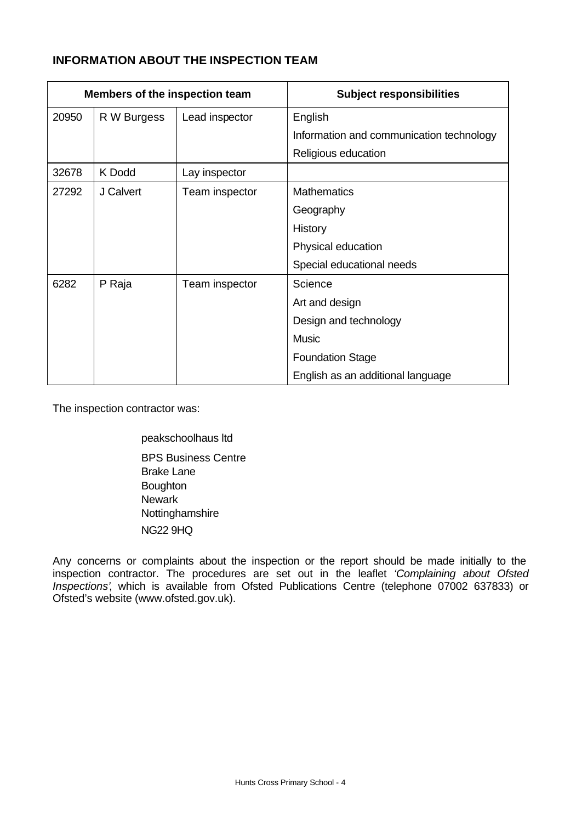# **INFORMATION ABOUT THE INSPECTION TEAM**

| Members of the inspection team |             |                | <b>Subject responsibilities</b>          |
|--------------------------------|-------------|----------------|------------------------------------------|
| 20950                          | R W Burgess | Lead inspector | English                                  |
|                                |             |                | Information and communication technology |
|                                |             |                | Religious education                      |
| 32678                          | K Dodd      | Lay inspector  |                                          |
| 27292                          | J Calvert   | Team inspector | <b>Mathematics</b>                       |
|                                |             |                | Geography                                |
|                                |             |                | History                                  |
|                                |             |                | Physical education                       |
|                                |             |                | Special educational needs                |
| 6282                           | P Raja      | Team inspector | Science                                  |
|                                |             |                | Art and design                           |
|                                |             |                | Design and technology                    |
|                                |             |                | <b>Music</b>                             |
|                                |             |                | <b>Foundation Stage</b>                  |
|                                |             |                | English as an additional language        |

The inspection contractor was:

peakschoolhaus ltd BPS Business Centre Brake Lane **Boughton Newark** Nottinghamshire NG22 9HQ

Any concerns or complaints about the inspection or the report should be made initially to the inspection contractor. The procedures are set out in the leaflet *'Complaining about Ofsted Inspections'*, which is available from Ofsted Publications Centre (telephone 07002 637833) or Ofsted's website (www.ofsted.gov.uk).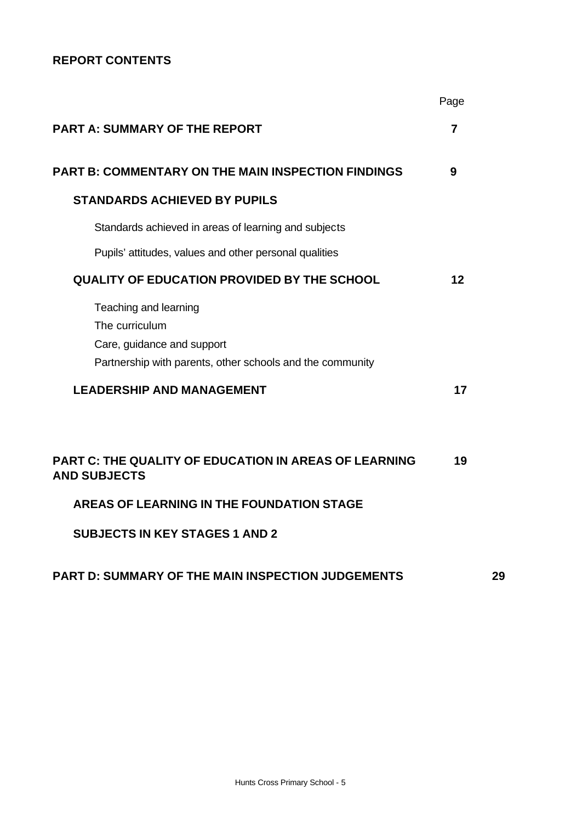# **REPORT CONTENTS**

|                                                                                                                                    | Page           |    |
|------------------------------------------------------------------------------------------------------------------------------------|----------------|----|
| <b>PART A: SUMMARY OF THE REPORT</b>                                                                                               | $\overline{7}$ |    |
| <b>PART B: COMMENTARY ON THE MAIN INSPECTION FINDINGS</b>                                                                          | 9              |    |
| <b>STANDARDS ACHIEVED BY PUPILS</b>                                                                                                |                |    |
| Standards achieved in areas of learning and subjects                                                                               |                |    |
| Pupils' attitudes, values and other personal qualities                                                                             |                |    |
| <b>QUALITY OF EDUCATION PROVIDED BY THE SCHOOL</b>                                                                                 | 12             |    |
| Teaching and learning<br>The curriculum<br>Care, guidance and support<br>Partnership with parents, other schools and the community |                |    |
| <b>LEADERSHIP AND MANAGEMENT</b>                                                                                                   | 17             |    |
| <b>PART C: THE QUALITY OF EDUCATION IN AREAS OF LEARNING</b><br><b>AND SUBJECTS</b>                                                | 19             |    |
| <b>AREAS OF LEARNING IN THE FOUNDATION STAGE</b>                                                                                   |                |    |
| <b>SUBJECTS IN KEY STAGES 1 AND 2</b>                                                                                              |                |    |
| PART D: SUMMARY OF THE MAIN INSPECTION JUDGEMENTS                                                                                  |                | 29 |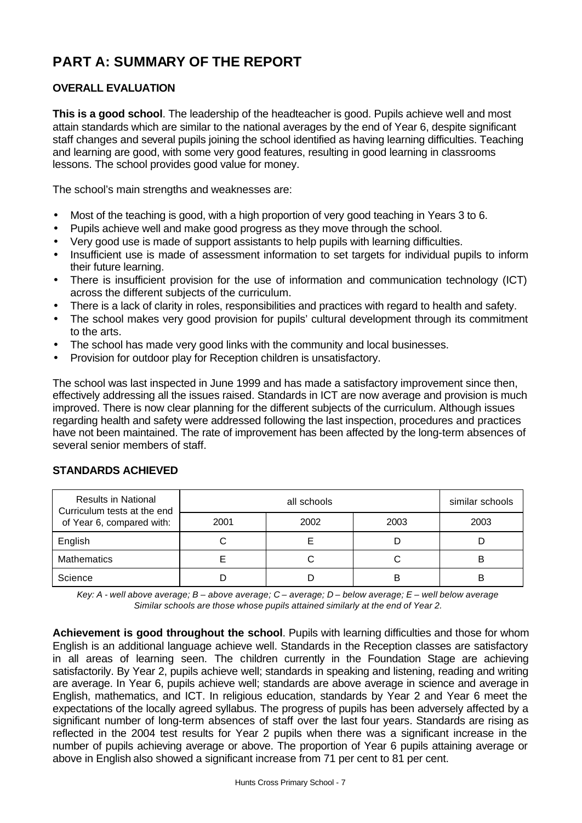# **PART A: SUMMARY OF THE REPORT**

# **OVERALL EVALUATION**

**This is a good school**. The leadership of the headteacher is good. Pupils achieve well and most attain standards which are similar to the national averages by the end of Year 6, despite significant staff changes and several pupils joining the school identified as having learning difficulties. Teaching and learning are good, with some very good features, resulting in good learning in classrooms lessons. The school provides good value for money.

The school's main strengths and weaknesses are:

- Most of the teaching is good, with a high proportion of very good teaching in Years 3 to 6.
- Pupils achieve well and make good progress as they move through the school.
- Very good use is made of support assistants to help pupils with learning difficulties.
- Insufficient use is made of assessment information to set targets for individual pupils to inform their future learning.
- There is insufficient provision for the use of information and communication technology (ICT) across the different subjects of the curriculum.
- There is a lack of clarity in roles, responsibilities and practices with regard to health and safety.
- The school makes very good provision for pupils' cultural development through its commitment to the arts.
- The school has made very good links with the community and local businesses.
- Provision for outdoor play for Reception children is unsatisfactory.

The school was last inspected in June 1999 and has made a satisfactory improvement since then, effectively addressing all the issues raised. Standards in ICT are now average and provision is much improved. There is now clear planning for the different subjects of the curriculum. Although issues regarding health and safety were addressed following the last inspection, procedures and practices have not been maintained. The rate of improvement has been affected by the long-term absences of several senior members of staff.

| <b>Results in National</b><br>Curriculum tests at the end |      | similar schools |      |      |
|-----------------------------------------------------------|------|-----------------|------|------|
| of Year 6, compared with:                                 | 2001 | 2002            | 2003 | 2003 |
| English                                                   |      |                 |      |      |
| <b>Mathematics</b>                                        |      |                 |      | ь    |
| Science                                                   |      |                 | B    |      |

# **STANDARDS ACHIEVED**

*Key: A - well above average; B – above average; C – average; D – below average; E – well below average Similar schools are those whose pupils attained similarly at the end of Year 2.*

**Achievement is good throughout the school**. Pupils with learning difficulties and those for whom English is an additional language achieve well. Standards in the Reception classes are satisfactory in all areas of learning seen. The children currently in the Foundation Stage are achieving satisfactorily. By Year 2, pupils achieve well; standards in speaking and listening, reading and writing are average. In Year 6, pupils achieve well; standards are above average in science and average in English, mathematics, and ICT. In religious education, standards by Year 2 and Year 6 meet the expectations of the locally agreed syllabus. The progress of pupils has been adversely affected by a significant number of long-term absences of staff over the last four years. Standards are rising as reflected in the 2004 test results for Year 2 pupils when there was a significant increase in the number of pupils achieving average or above. The proportion of Year 6 pupils attaining average or above in English also showed a significant increase from 71 per cent to 81 per cent.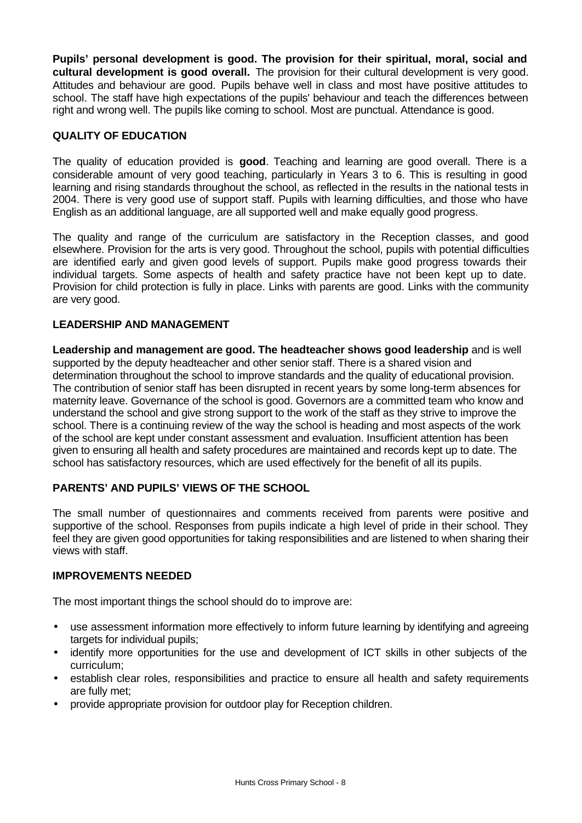**Pupils' personal development is good. The provision for their spiritual, moral, social and cultural development is good overall.** The provision for their cultural development is very good. Attitudes and behaviour are good. Pupils behave well in class and most have positive attitudes to school. The staff have high expectations of the pupils' behaviour and teach the differences between right and wrong well. The pupils like coming to school. Most are punctual. Attendance is good.

# **QUALITY OF EDUCATION**

The quality of education provided is **good**. Teaching and learning are good overall. There is a considerable amount of very good teaching, particularly in Years 3 to 6. This is resulting in good learning and rising standards throughout the school, as reflected in the results in the national tests in 2004. There is very good use of support staff. Pupils with learning difficulties, and those who have English as an additional language, are all supported well and make equally good progress.

The quality and range of the curriculum are satisfactory in the Reception classes, and good elsewhere. Provision for the arts is very good. Throughout the school, pupils with potential difficulties are identified early and given good levels of support. Pupils make good progress towards their individual targets. Some aspects of health and safety practice have not been kept up to date. Provision for child protection is fully in place. Links with parents are good. Links with the community are very good.

#### **LEADERSHIP AND MANAGEMENT**

**Leadership and management are good. The headteacher shows good leadership** and is well supported by the deputy headteacher and other senior staff. There is a shared vision and determination throughout the school to improve standards and the quality of educational provision. The contribution of senior staff has been disrupted in recent years by some long-term absences for maternity leave. Governance of the school is good. Governors are a committed team who know and understand the school and give strong support to the work of the staff as they strive to improve the school. There is a continuing review of the way the school is heading and most aspects of the work of the school are kept under constant assessment and evaluation. Insufficient attention has been given to ensuring all health and safety procedures are maintained and records kept up to date. The school has satisfactory resources, which are used effectively for the benefit of all its pupils.

# **PARENTS' AND PUPILS' VIEWS OF THE SCHOOL**

The small number of questionnaires and comments received from parents were positive and supportive of the school. Responses from pupils indicate a high level of pride in their school. They feel they are given good opportunities for taking responsibilities and are listened to when sharing their views with staff.

#### **IMPROVEMENTS NEEDED**

The most important things the school should do to improve are:

- use assessment information more effectively to inform future learning by identifying and agreeing targets for individual pupils;
- identify more opportunities for the use and development of ICT skills in other subjects of the curriculum;
- establish clear roles, responsibilities and practice to ensure all health and safety requirements are fully met;
- provide appropriate provision for outdoor play for Reception children.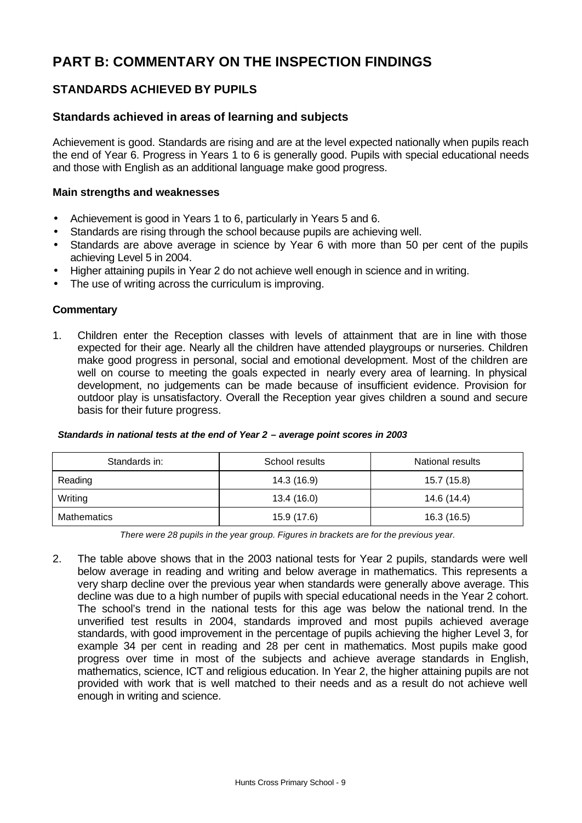# **PART B: COMMENTARY ON THE INSPECTION FINDINGS**

# **STANDARDS ACHIEVED BY PUPILS**

# **Standards achieved in areas of learning and subjects**

Achievement is good. Standards are rising and are at the level expected nationally when pupils reach the end of Year 6. Progress in Years 1 to 6 is generally good. Pupils with special educational needs and those with English as an additional language make good progress.

#### **Main strengths and weaknesses**

- Achievement is good in Years 1 to 6, particularly in Years 5 and 6.
- Standards are rising through the school because pupils are achieving well.
- Standards are above average in science by Year 6 with more than 50 per cent of the pupils achieving Level 5 in 2004.
- Higher attaining pupils in Year 2 do not achieve well enough in science and in writing.
- The use of writing across the curriculum is improving.

#### **Commentary**

1. Children enter the Reception classes with levels of attainment that are in line with those expected for their age. Nearly all the children have attended playgroups or nurseries. Children make good progress in personal, social and emotional development. Most of the children are well on course to meeting the goals expected in nearly every area of learning. In physical development, no judgements can be made because of insufficient evidence. Provision for outdoor play is unsatisfactory. Overall the Reception year gives children a sound and secure basis for their future progress.

|  | Standards in national tests at the end of Year 2 – average point scores in 2003 |
|--|---------------------------------------------------------------------------------|
|  |                                                                                 |

| Standards in:      | School results |             |
|--------------------|----------------|-------------|
| Reading            | 14.3 (16.9)    | 15.7 (15.8) |
| Writing            | 13.4 (16.0)    | 14.6 (14.4) |
| <b>Mathematics</b> | 15.9 (17.6)    | 16.3 (16.5) |

*There were 28 pupils in the year group. Figures in brackets are for the previous year.*

2. The table above shows that in the 2003 national tests for Year 2 pupils, standards were well below average in reading and writing and below average in mathematics. This represents a very sharp decline over the previous year when standards were generally above average. This decline was due to a high number of pupils with special educational needs in the Year 2 cohort. The school's trend in the national tests for this age was below the national trend. In the unverified test results in 2004, standards improved and most pupils achieved average standards, with good improvement in the percentage of pupils achieving the higher Level 3, for example 34 per cent in reading and 28 per cent in mathematics. Most pupils make good progress over time in most of the subjects and achieve average standards in English, mathematics, science, ICT and religious education. In Year 2, the higher attaining pupils are not provided with work that is well matched to their needs and as a result do not achieve well enough in writing and science.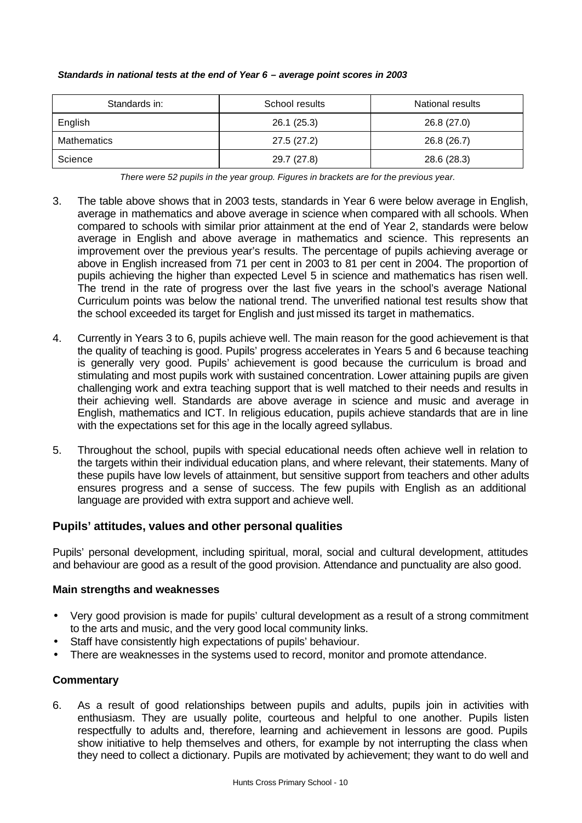| Standards in: | School results | National results |
|---------------|----------------|------------------|
| English       | 26.1(25.3)     | 26.8 (27.0)      |
| Mathematics   | 27.5(27.2)     | 26.8 (26.7)      |
| Science       | 29.7 (27.8)    | 28.6 (28.3)      |

#### *Standards in national tests at the end of Year 6 – average point scores in 2003*

*There were 52 pupils in the year group. Figures in brackets are for the previous year.*

- 3. The table above shows that in 2003 tests, standards in Year 6 were below average in English, average in mathematics and above average in science when compared with all schools. When compared to schools with similar prior attainment at the end of Year 2, standards were below average in English and above average in mathematics and science. This represents an improvement over the previous year's results. The percentage of pupils achieving average or above in English increased from 71 per cent in 2003 to 81 per cent in 2004. The proportion of pupils achieving the higher than expected Level 5 in science and mathematics has risen well. The trend in the rate of progress over the last five years in the school's average National Curriculum points was below the national trend. The unverified national test results show that the school exceeded its target for English and just missed its target in mathematics.
- 4. Currently in Years 3 to 6, pupils achieve well. The main reason for the good achievement is that the quality of teaching is good. Pupils' progress accelerates in Years 5 and 6 because teaching is generally very good. Pupils' achievement is good because the curriculum is broad and stimulating and most pupils work with sustained concentration. Lower attaining pupils are given challenging work and extra teaching support that is well matched to their needs and results in their achieving well. Standards are above average in science and music and average in English, mathematics and ICT. In religious education, pupils achieve standards that are in line with the expectations set for this age in the locally agreed syllabus.
- 5. Throughout the school, pupils with special educational needs often achieve well in relation to the targets within their individual education plans, and where relevant, their statements. Many of these pupils have low levels of attainment, but sensitive support from teachers and other adults ensures progress and a sense of success. The few pupils with English as an additional language are provided with extra support and achieve well.

# **Pupils' attitudes, values and other personal qualities**

Pupils' personal development, including spiritual, moral, social and cultural development, attitudes and behaviour are good as a result of the good provision. Attendance and punctuality are also good.

#### **Main strengths and weaknesses**

- Very good provision is made for pupils' cultural development as a result of a strong commitment to the arts and music, and the very good local community links.
- Staff have consistently high expectations of pupils' behaviour.
- There are weaknesses in the systems used to record, monitor and promote attendance.

#### **Commentary**

6. As a result of good relationships between pupils and adults, pupils join in activities with enthusiasm. They are usually polite, courteous and helpful to one another. Pupils listen respectfully to adults and, therefore, learning and achievement in lessons are good. Pupils show initiative to help themselves and others, for example by not interrupting the class when they need to collect a dictionary. Pupils are motivated by achievement; they want to do well and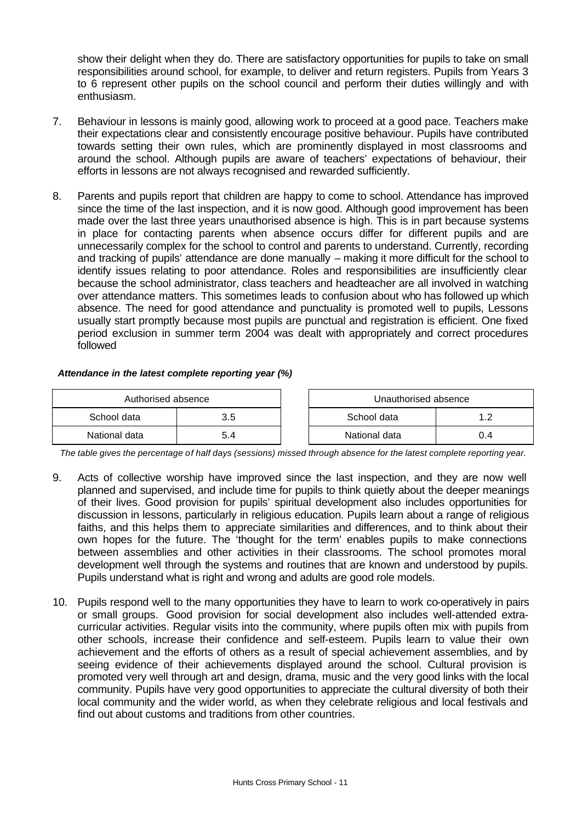show their delight when they do. There are satisfactory opportunities for pupils to take on small responsibilities around school, for example, to deliver and return registers. Pupils from Years 3 to 6 represent other pupils on the school council and perform their duties willingly and with enthusiasm.

- 7. Behaviour in lessons is mainly good, allowing work to proceed at a good pace. Teachers make their expectations clear and consistently encourage positive behaviour. Pupils have contributed towards setting their own rules, which are prominently displayed in most classrooms and around the school. Although pupils are aware of teachers' expectations of behaviour, their efforts in lessons are not always recognised and rewarded sufficiently.
- 8. Parents and pupils report that children are happy to come to school. Attendance has improved since the time of the last inspection, and it is now good. Although good improvement has been made over the last three years unauthorised absence is high. This is in part because systems in place for contacting parents when absence occurs differ for different pupils and are unnecessarily complex for the school to control and parents to understand. Currently, recording and tracking of pupils' attendance are done manually – making it more difficult for the school to identify issues relating to poor attendance. Roles and responsibilities are insufficiently clear because the school administrator, class teachers and headteacher are all involved in watching over attendance matters. This sometimes leads to confusion about who has followed up which absence. The need for good attendance and punctuality is promoted well to pupils, Lessons usually start promptly because most pupils are punctual and registration is efficient. One fixed period exclusion in summer term 2004 was dealt with appropriately and correct procedures followed

#### *Attendance in the latest complete reporting year (%)*

| Authorised absence |     |  | Unauthorised absence |     |
|--------------------|-----|--|----------------------|-----|
| School data<br>3.5 |     |  | School data          |     |
| National data      | 5.4 |  | National data        | 0.4 |

*The table gives the percentage of half days (sessions) missed through absence for the latest complete reporting year.*

- 9. Acts of collective worship have improved since the last inspection, and they are now well planned and supervised, and include time for pupils to think quietly about the deeper meanings of their lives. Good provision for pupils' spiritual development also includes opportunities for discussion in lessons, particularly in religious education. Pupils learn about a range of religious faiths, and this helps them to appreciate similarities and differences, and to think about their own hopes for the future. The 'thought for the term' enables pupils to make connections between assemblies and other activities in their classrooms. The school promotes moral development well through the systems and routines that are known and understood by pupils. Pupils understand what is right and wrong and adults are good role models.
- 10. Pupils respond well to the many opportunities they have to learn to work co-operatively in pairs or small groups. Good provision for social development also includes well-attended extracurricular activities. Regular visits into the community, where pupils often mix with pupils from other schools, increase their confidence and self-esteem. Pupils learn to value their own achievement and the efforts of others as a result of special achievement assemblies, and by seeing evidence of their achievements displayed around the school. Cultural provision is promoted very well through art and design, drama, music and the very good links with the local community. Pupils have very good opportunities to appreciate the cultural diversity of both their local community and the wider world, as when they celebrate religious and local festivals and find out about customs and traditions from other countries.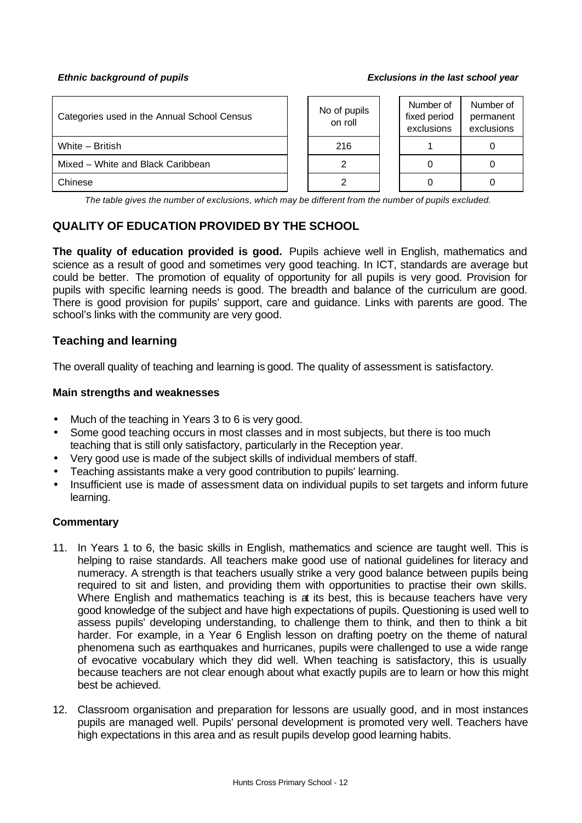#### *Ethnic background of pupils Exclusions in the last school year*

| Categories used in the Annual School Census | No of pupils<br>on roll | Number of<br>fixed period<br>exclusions | Number of<br>permanent<br>exclusions |
|---------------------------------------------|-------------------------|-----------------------------------------|--------------------------------------|
| White - British                             | 216                     |                                         |                                      |
| Mixed - White and Black Caribbean           |                         |                                         |                                      |
| Chinese                                     |                         |                                         |                                      |

*The table gives the number of exclusions, which may be different from the number of pupils excluded.*

# **QUALITY OF EDUCATION PROVIDED BY THE SCHOOL**

**The quality of education provided is good.** Pupils achieve well in English, mathematics and science as a result of good and sometimes very good teaching. In ICT, standards are average but could be better. The promotion of equality of opportunity for all pupils is very good. Provision for pupils with specific learning needs is good. The breadth and balance of the curriculum are good. There is good provision for pupils' support, care and guidance. Links with parents are good. The school's links with the community are very good.

## **Teaching and learning**

The overall quality of teaching and learning is good. The quality of assessment is satisfactory.

#### **Main strengths and weaknesses**

- Much of the teaching in Years 3 to 6 is very good.
- Some good teaching occurs in most classes and in most subjects, but there is too much teaching that is still only satisfactory, particularly in the Reception year.
- Very good use is made of the subject skills of individual members of staff.
- Teaching assistants make a very good contribution to pupils' learning.
- Insufficient use is made of assessment data on individual pupils to set targets and inform future learning.

- 11. In Years 1 to 6, the basic skills in English, mathematics and science are taught well. This is helping to raise standards. All teachers make good use of national guidelines for literacy and numeracy. A strength is that teachers usually strike a very good balance between pupils being required to sit and listen, and providing them with opportunities to practise their own skills. Where English and mathematics teaching is at its best, this is because teachers have very good knowledge of the subject and have high expectations of pupils. Questioning is used well to assess pupils' developing understanding, to challenge them to think, and then to think a bit harder. For example, in a Year 6 English lesson on drafting poetry on the theme of natural phenomena such as earthquakes and hurricanes, pupils were challenged to use a wide range of evocative vocabulary which they did well. When teaching is satisfactory, this is usually because teachers are not clear enough about what exactly pupils are to learn or how this might best be achieved.
- 12. Classroom organisation and preparation for lessons are usually good, and in most instances pupils are managed well. Pupils' personal development is promoted very well. Teachers have high expectations in this area and as result pupils develop good learning habits.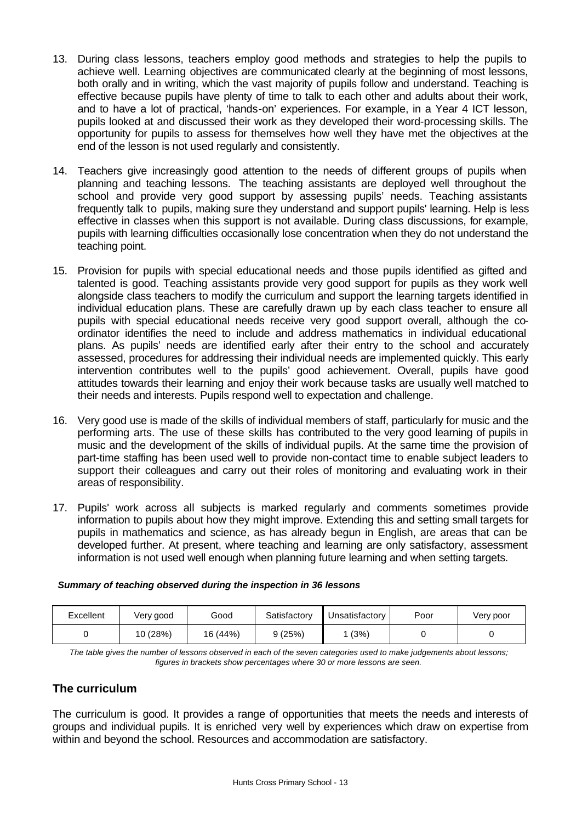- 13. During class lessons, teachers employ good methods and strategies to help the pupils to achieve well. Learning objectives are communicated clearly at the beginning of most lessons, both orally and in writing, which the vast majority of pupils follow and understand. Teaching is effective because pupils have plenty of time to talk to each other and adults about their work, and to have a lot of practical, 'hands-on' experiences. For example, in a Year 4 ICT lesson, pupils looked at and discussed their work as they developed their word-processing skills. The opportunity for pupils to assess for themselves how well they have met the objectives at the end of the lesson is not used regularly and consistently.
- 14. Teachers give increasingly good attention to the needs of different groups of pupils when planning and teaching lessons. The teaching assistants are deployed well throughout the school and provide very good support by assessing pupils' needs. Teaching assistants frequently talk to pupils, making sure they understand and support pupils' learning. Help is less effective in classes when this support is not available. During class discussions, for example, pupils with learning difficulties occasionally lose concentration when they do not understand the teaching point.
- 15. Provision for pupils with special educational needs and those pupils identified as gifted and talented is good. Teaching assistants provide very good support for pupils as they work well alongside class teachers to modify the curriculum and support the learning targets identified in individual education plans. These are carefully drawn up by each class teacher to ensure all pupils with special educational needs receive very good support overall, although the coordinator identifies the need to include and address mathematics in individual educational plans. As pupils' needs are identified early after their entry to the school and accurately assessed, procedures for addressing their individual needs are implemented quickly. This early intervention contributes well to the pupils' good achievement. Overall, pupils have good attitudes towards their learning and enjoy their work because tasks are usually well matched to their needs and interests. Pupils respond well to expectation and challenge.
- 16. Very good use is made of the skills of individual members of staff, particularly for music and the performing arts. The use of these skills has contributed to the very good learning of pupils in music and the development of the skills of individual pupils. At the same time the provision of part-time staffing has been used well to provide non-contact time to enable subject leaders to support their colleagues and carry out their roles of monitoring and evaluating work in their areas of responsibility.
- 17. Pupils' work across all subjects is marked regularly and comments sometimes provide information to pupils about how they might improve. Extending this and setting small targets for pupils in mathematics and science, as has already begun in English, are areas that can be developed further. At present, where teaching and learning are only satisfactory, assessment information is not used well enough when planning future learning and when setting targets.

| Excellent | Very good | Good     | Satisfactory | Unsatisfactory | Poor | Very poor |
|-----------|-----------|----------|--------------|----------------|------|-----------|
|           | 10 (28%)  | 16 (44%) | 9(25%)       | (3%)           |      |           |

#### *Summary of teaching observed during the inspection in 36 lessons*

*The table gives the number of lessons observed in each of the seven categories used to make judgements about lessons; figures in brackets show percentages where 30 or more lessons are seen.*

# **The curriculum**

The curriculum is good. It provides a range of opportunities that meets the needs and interests of groups and individual pupils. It is enriched very well by experiences which draw on expertise from within and beyond the school. Resources and accommodation are satisfactory.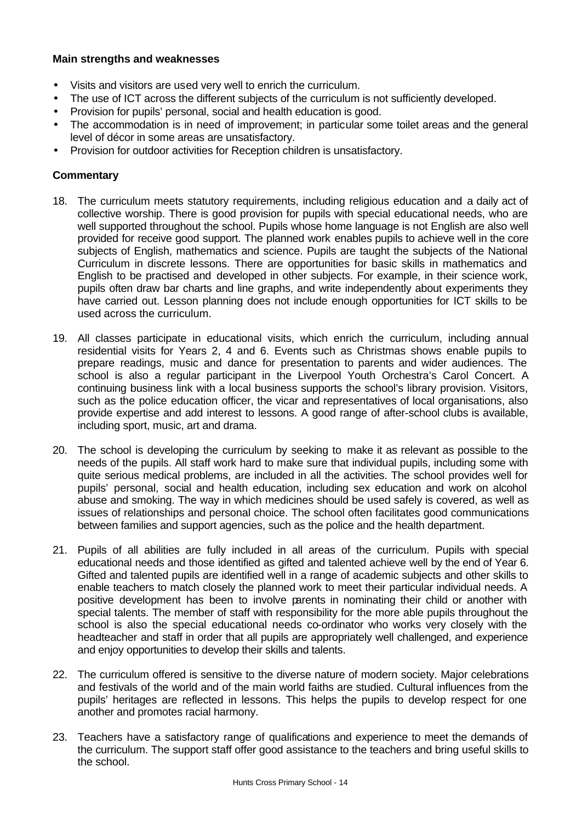## **Main strengths and weaknesses**

- Visits and visitors are used very well to enrich the curriculum.
- The use of ICT across the different subjects of the curriculum is not sufficiently developed.
- Provision for pupils' personal, social and health education is good.
- The accommodation is in need of improvement; in particular some toilet areas and the general level of décor in some areas are unsatisfactory.
- Provision for outdoor activities for Reception children is unsatisfactory.

- 18. The curriculum meets statutory requirements, including religious education and a daily act of collective worship. There is good provision for pupils with special educational needs, who are well supported throughout the school. Pupils whose home language is not English are also well provided for receive good support. The planned work enables pupils to achieve well in the core subjects of English, mathematics and science. Pupils are taught the subjects of the National Curriculum in discrete lessons. There are opportunities for basic skills in mathematics and English to be practised and developed in other subjects. For example, in their science work, pupils often draw bar charts and line graphs, and write independently about experiments they have carried out. Lesson planning does not include enough opportunities for ICT skills to be used across the curriculum.
- 19. All classes participate in educational visits, which enrich the curriculum, including annual residential visits for Years 2, 4 and 6. Events such as Christmas shows enable pupils to prepare readings, music and dance for presentation to parents and wider audiences. The school is also a regular participant in the Liverpool Youth Orchestra's Carol Concert. A continuing business link with a local business supports the school's library provision. Visitors, such as the police education officer, the vicar and representatives of local organisations, also provide expertise and add interest to lessons. A good range of after-school clubs is available, including sport, music, art and drama.
- 20. The school is developing the curriculum by seeking to make it as relevant as possible to the needs of the pupils. All staff work hard to make sure that individual pupils, including some with quite serious medical problems, are included in all the activities. The school provides well for pupils' personal, social and health education, including sex education and work on alcohol abuse and smoking. The way in which medicines should be used safely is covered, as well as issues of relationships and personal choice. The school often facilitates good communications between families and support agencies, such as the police and the health department.
- 21. Pupils of all abilities are fully included in all areas of the curriculum. Pupils with special educational needs and those identified as gifted and talented achieve well by the end of Year 6. Gifted and talented pupils are identified well in a range of academic subjects and other skills to enable teachers to match closely the planned work to meet their particular individual needs. A positive development has been to involve parents in nominating their child or another with special talents. The member of staff with responsibility for the more able pupils throughout the school is also the special educational needs co-ordinator who works very closely with the headteacher and staff in order that all pupils are appropriately well challenged, and experience and enjoy opportunities to develop their skills and talents.
- 22. The curriculum offered is sensitive to the diverse nature of modern society. Major celebrations and festivals of the world and of the main world faiths are studied. Cultural influences from the pupils' heritages are reflected in lessons. This helps the pupils to develop respect for one another and promotes racial harmony.
- 23. Teachers have a satisfactory range of qualifications and experience to meet the demands of the curriculum. The support staff offer good assistance to the teachers and bring useful skills to the school.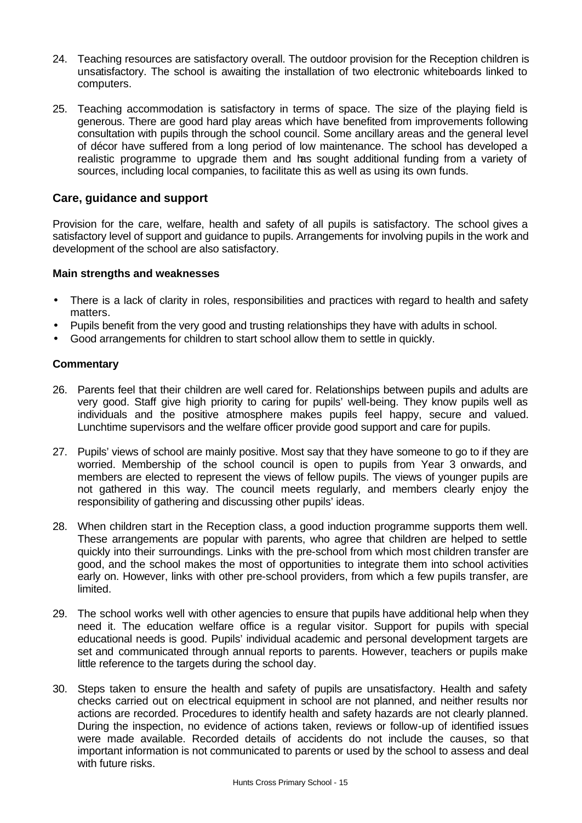- 24. Teaching resources are satisfactory overall. The outdoor provision for the Reception children is unsatisfactory. The school is awaiting the installation of two electronic whiteboards linked to computers.
- 25. Teaching accommodation is satisfactory in terms of space. The size of the playing field is generous. There are good hard play areas which have benefited from improvements following consultation with pupils through the school council. Some ancillary areas and the general level of décor have suffered from a long period of low maintenance. The school has developed a realistic programme to upgrade them and has sought additional funding from a variety of sources, including local companies, to facilitate this as well as using its own funds.

# **Care, guidance and support**

Provision for the care, welfare, health and safety of all pupils is satisfactory. The school gives a satisfactory level of support and guidance to pupils. Arrangements for involving pupils in the work and development of the school are also satisfactory.

#### **Main strengths and weaknesses**

- There is a lack of clarity in roles, responsibilities and practices with regard to health and safety matters.
- Pupils benefit from the very good and trusting relationships they have with adults in school.
- Good arrangements for children to start school allow them to settle in quickly.

- 26. Parents feel that their children are well cared for. Relationships between pupils and adults are very good. Staff give high priority to caring for pupils' well-being. They know pupils well as individuals and the positive atmosphere makes pupils feel happy, secure and valued. Lunchtime supervisors and the welfare officer provide good support and care for pupils.
- 27. Pupils' views of school are mainly positive. Most say that they have someone to go to if they are worried. Membership of the school council is open to pupils from Year 3 onwards, and members are elected to represent the views of fellow pupils. The views of younger pupils are not gathered in this way. The council meets regularly, and members clearly enjoy the responsibility of gathering and discussing other pupils' ideas.
- 28. When children start in the Reception class, a good induction programme supports them well. These arrangements are popular with parents, who agree that children are helped to settle quickly into their surroundings. Links with the pre-school from which most children transfer are good, and the school makes the most of opportunities to integrate them into school activities early on. However, links with other pre-school providers, from which a few pupils transfer, are limited.
- 29. The school works well with other agencies to ensure that pupils have additional help when they need it. The education welfare office is a regular visitor. Support for pupils with special educational needs is good. Pupils' individual academic and personal development targets are set and communicated through annual reports to parents. However, teachers or pupils make little reference to the targets during the school day.
- 30. Steps taken to ensure the health and safety of pupils are unsatisfactory. Health and safety checks carried out on electrical equipment in school are not planned, and neither results nor actions are recorded. Procedures to identify health and safety hazards are not clearly planned. During the inspection, no evidence of actions taken, reviews or follow-up of identified issues were made available. Recorded details of accidents do not include the causes, so that important information is not communicated to parents or used by the school to assess and deal with future risks.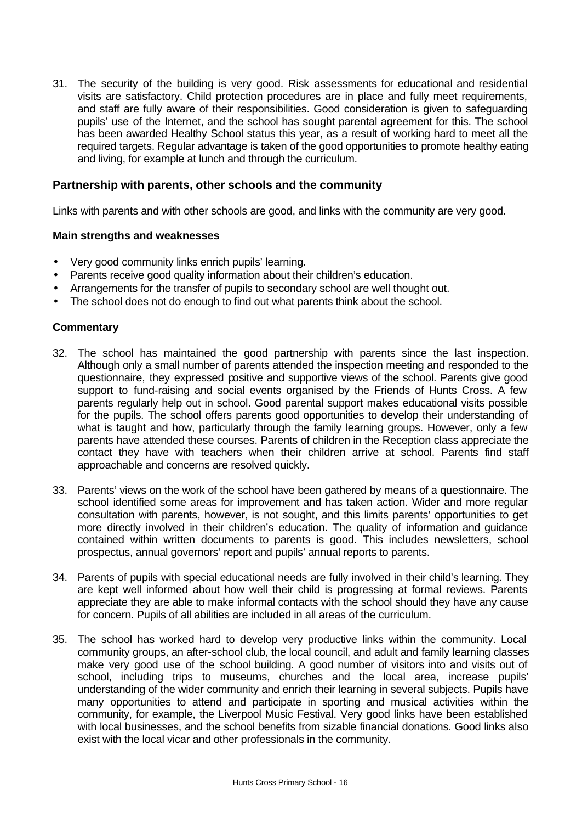31. The security of the building is very good. Risk assessments for educational and residential visits are satisfactory. Child protection procedures are in place and fully meet requirements, and staff are fully aware of their responsibilities. Good consideration is given to safeguarding pupils' use of the Internet, and the school has sought parental agreement for this. The school has been awarded Healthy School status this year, as a result of working hard to meet all the required targets. Regular advantage is taken of the good opportunities to promote healthy eating and living, for example at lunch and through the curriculum.

#### **Partnership with parents, other schools and the community**

Links with parents and with other schools are good, and links with the community are very good.

#### **Main strengths and weaknesses**

- Very good community links enrich pupils' learning.
- Parents receive good quality information about their children's education.
- Arrangements for the transfer of pupils to secondary school are well thought out.
- The school does not do enough to find out what parents think about the school.

- 32. The school has maintained the good partnership with parents since the last inspection. Although only a small number of parents attended the inspection meeting and responded to the questionnaire, they expressed positive and supportive views of the school. Parents give good support to fund-raising and social events organised by the Friends of Hunts Cross. A few parents regularly help out in school. Good parental support makes educational visits possible for the pupils. The school offers parents good opportunities to develop their understanding of what is taught and how, particularly through the family learning groups. However, only a few parents have attended these courses. Parents of children in the Reception class appreciate the contact they have with teachers when their children arrive at school. Parents find staff approachable and concerns are resolved quickly.
- 33. Parents' views on the work of the school have been gathered by means of a questionnaire. The school identified some areas for improvement and has taken action. Wider and more regular consultation with parents, however, is not sought, and this limits parents' opportunities to get more directly involved in their children's education. The quality of information and guidance contained within written documents to parents is good. This includes newsletters, school prospectus, annual governors' report and pupils' annual reports to parents.
- 34. Parents of pupils with special educational needs are fully involved in their child's learning. They are kept well informed about how well their child is progressing at formal reviews. Parents appreciate they are able to make informal contacts with the school should they have any cause for concern. Pupils of all abilities are included in all areas of the curriculum.
- 35. The school has worked hard to develop very productive links within the community. Local community groups, an after-school club, the local council, and adult and family learning classes make very good use of the school building. A good number of visitors into and visits out of school, including trips to museums, churches and the local area, increase pupils' understanding of the wider community and enrich their learning in several subjects. Pupils have many opportunities to attend and participate in sporting and musical activities within the community, for example, the Liverpool Music Festival. Very good links have been established with local businesses, and the school benefits from sizable financial donations. Good links also exist with the local vicar and other professionals in the community.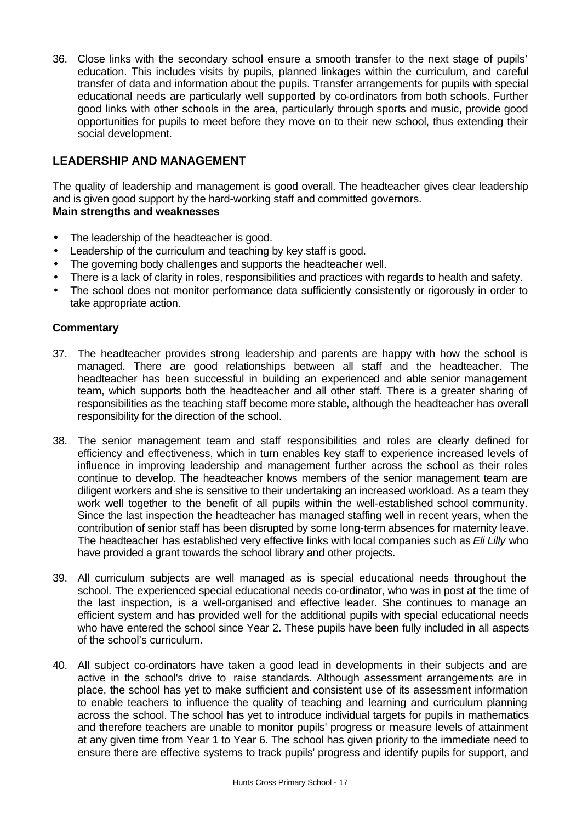36. Close links with the secondary school ensure a smooth transfer to the next stage of pupils' education. This includes visits by pupils, planned linkages within the curriculum, and careful transfer of data and information about the pupils. Transfer arrangements for pupils with special educational needs are particularly well supported by co-ordinators from both schools. Further good links with other schools in the area, particularly through sports and music, provide good opportunities for pupils to meet before they move on to their new school, thus extending their social development.

# **LEADERSHIP AND MANAGEMENT**

The quality of leadership and management is good overall. The headteacher gives clear leadership and is given good support by the hard-working staff and committed governors. **Main strengths and weaknesses**

- The leadership of the headteacher is good.
- Leadership of the curriculum and teaching by key staff is good.
- The governing body challenges and supports the headteacher well.
- There is a lack of clarity in roles, responsibilities and practices with regards to health and safety.
- The school does not monitor performance data sufficiently consistently or rigorously in order to take appropriate action.

- 37. The headteacher provides strong leadership and parents are happy with how the school is managed. There are good relationships between all staff and the headteacher. The headteacher has been successful in building an experienced and able senior management team, which supports both the headteacher and all other staff. There is a greater sharing of responsibilities as the teaching staff become more stable, although the headteacher has overall responsibility for the direction of the school.
- 38. The senior management team and staff responsibilities and roles are clearly defined for efficiency and effectiveness, which in turn enables key staff to experience increased levels of influence in improving leadership and management further across the school as their roles continue to develop. The headteacher knows members of the senior management team are diligent workers and she is sensitive to their undertaking an increased workload. As a team they work well together to the benefit of all pupils within the well-established school community. Since the last inspection the headteacher has managed staffing well in recent years, when the contribution of senior staff has been disrupted by some long-term absences for maternity leave. The headteacher has established very effective links with local companies such as *Eli Lilly* who have provided a grant towards the school library and other projects.
- 39. All curriculum subjects are well managed as is special educational needs throughout the school. The experienced special educational needs co-ordinator, who was in post at the time of the last inspection, is a well-organised and effective leader. She continues to manage an efficient system and has provided well for the additional pupils with special educational needs who have entered the school since Year 2. These pupils have been fully included in all aspects of the school's curriculum.
- 40. All subject co-ordinators have taken a good lead in developments in their subjects and are active in the school's drive to raise standards. Although assessment arrangements are in place, the school has yet to make sufficient and consistent use of its assessment information to enable teachers to influence the quality of teaching and learning and curriculum planning across the school. The school has yet to introduce individual targets for pupils in mathematics and therefore teachers are unable to monitor pupils' progress or measure levels of attainment at any given time from Year 1 to Year 6. The school has given priority to the immediate need to ensure there are effective systems to track pupils' progress and identify pupils for support, and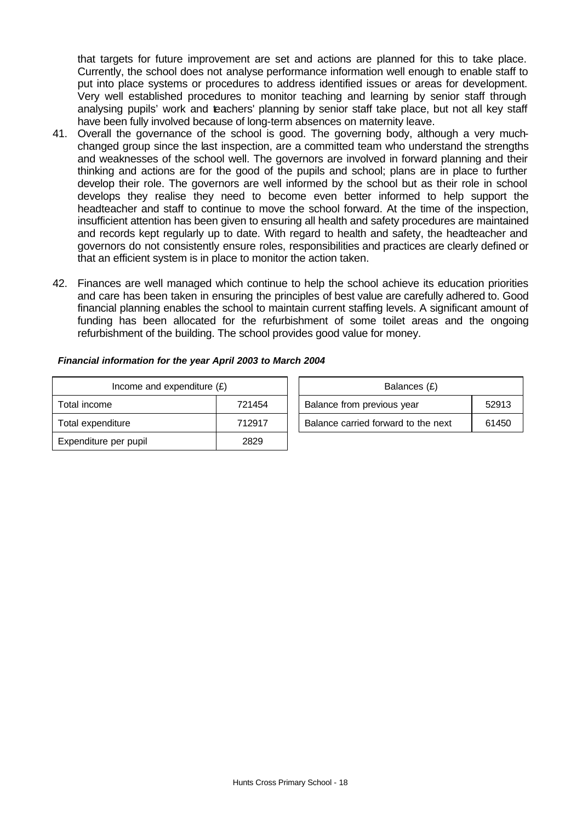that targets for future improvement are set and actions are planned for this to take place. Currently, the school does not analyse performance information well enough to enable staff to put into place systems or procedures to address identified issues or areas for development. Very well established procedures to monitor teaching and learning by senior staff through analysing pupils' work and teachers' planning by senior staff take place, but not all key staff have been fully involved because of long-term absences on maternity leave.

- 41. Overall the governance of the school is good. The governing body, although a very muchchanged group since the last inspection, are a committed team who understand the strengths and weaknesses of the school well. The governors are involved in forward planning and their thinking and actions are for the good of the pupils and school; plans are in place to further develop their role. The governors are well informed by the school but as their role in school develops they realise they need to become even better informed to help support the headteacher and staff to continue to move the school forward. At the time of the inspection, insufficient attention has been given to ensuring all health and safety procedures are maintained and records kept regularly up to date. With regard to health and safety, the headteacher and governors do not consistently ensure roles, responsibilities and practices are clearly defined or that an efficient system is in place to monitor the action taken.
- 42. Finances are well managed which continue to help the school achieve its education priorities and care has been taken in ensuring the principles of best value are carefully adhered to. Good financial planning enables the school to maintain current staffing levels. A significant amount of funding has been allocated for the refurbishment of some toilet areas and the ongoing refurbishment of the building. The school provides good value for money.

| Income and expenditure $(E)$ |        | Balances (£)                        |       |
|------------------------------|--------|-------------------------------------|-------|
| Total income                 | 721454 | Balance from previous year          | 52913 |
| Total expenditure            | 712917 | Balance carried forward to the next | 61450 |
| Expenditure per pupil        | 2829   |                                     |       |

| Financial information for the year April 2003 to March 2004 |  |
|-------------------------------------------------------------|--|
|-------------------------------------------------------------|--|

| Balances (£)                        |       |
|-------------------------------------|-------|
| Balance from previous year          | 52913 |
| Balance carried forward to the next | 61450 |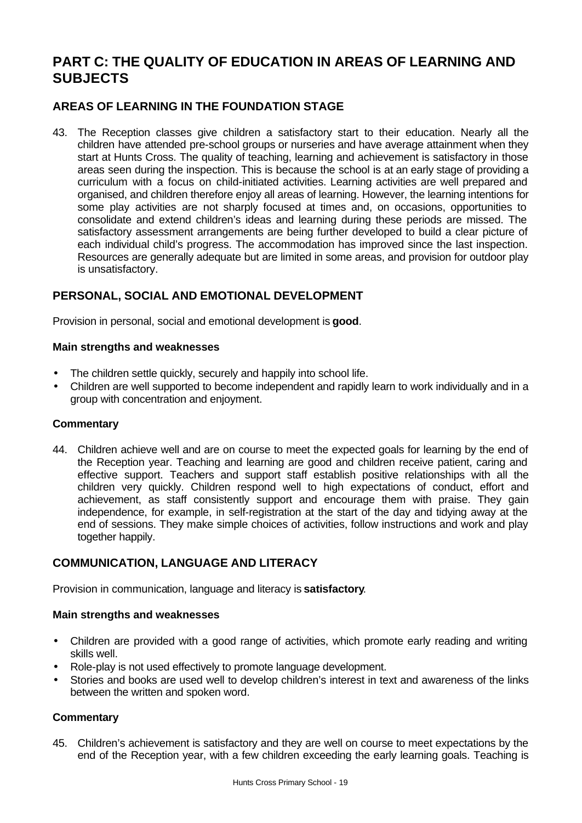# **PART C: THE QUALITY OF EDUCATION IN AREAS OF LEARNING AND SUBJECTS**

# **AREAS OF LEARNING IN THE FOUNDATION STAGE**

43. The Reception classes give children a satisfactory start to their education. Nearly all the children have attended pre-school groups or nurseries and have average attainment when they start at Hunts Cross. The quality of teaching, learning and achievement is satisfactory in those areas seen during the inspection. This is because the school is at an early stage of providing a curriculum with a focus on child-initiated activities. Learning activities are well prepared and organised, and children therefore enjoy all areas of learning. However, the learning intentions for some play activities are not sharply focused at times and, on occasions, opportunities to consolidate and extend children's ideas and learning during these periods are missed. The satisfactory assessment arrangements are being further developed to build a clear picture of each individual child's progress. The accommodation has improved since the last inspection. Resources are generally adequate but are limited in some areas, and provision for outdoor play is unsatisfactory.

# **PERSONAL, SOCIAL AND EMOTIONAL DEVELOPMENT**

Provision in personal, social and emotional development is **good**.

#### **Main strengths and weaknesses**

- The children settle quickly, securely and happily into school life.
- Children are well supported to become independent and rapidly learn to work individually and in a group with concentration and enjoyment.

#### **Commentary**

44. Children achieve well and are on course to meet the expected goals for learning by the end of the Reception year. Teaching and learning are good and children receive patient, caring and effective support. Teachers and support staff establish positive relationships with all the children very quickly. Children respond well to high expectations of conduct, effort and achievement, as staff consistently support and encourage them with praise. They gain independence, for example, in self-registration at the start of the day and tidying away at the end of sessions. They make simple choices of activities, follow instructions and work and play together happily.

# **COMMUNICATION, LANGUAGE AND LITERACY**

Provision in communication, language and literacy is **satisfactory**.

#### **Main strengths and weaknesses**

- Children are provided with a good range of activities, which promote early reading and writing skills well.
- Role-play is not used effectively to promote language development.
- Stories and books are used well to develop children's interest in text and awareness of the links between the written and spoken word.

#### **Commentary**

45. Children's achievement is satisfactory and they are well on course to meet expectations by the end of the Reception year, with a few children exceeding the early learning goals. Teaching is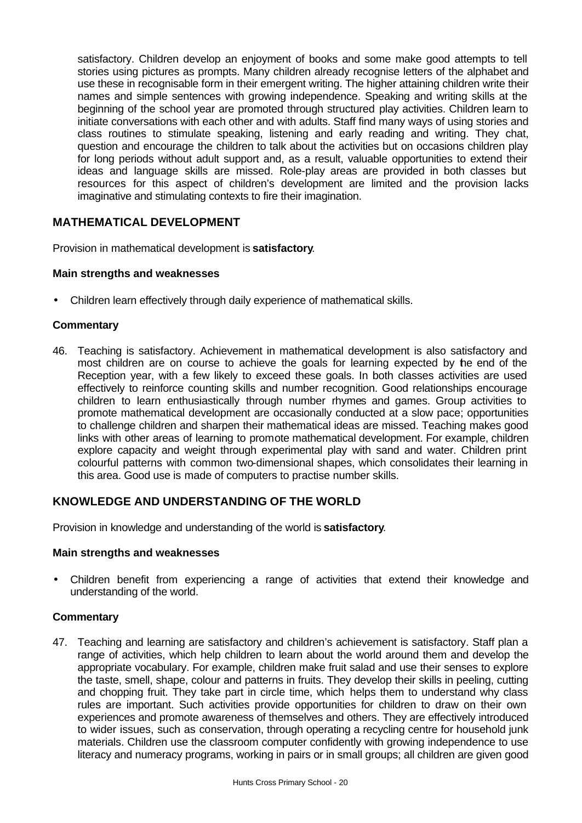satisfactory. Children develop an enjoyment of books and some make good attempts to tell stories using pictures as prompts. Many children already recognise letters of the alphabet and use these in recognisable form in their emergent writing. The higher attaining children write their names and simple sentences with growing independence. Speaking and writing skills at the beginning of the school year are promoted through structured play activities. Children learn to initiate conversations with each other and with adults. Staff find many ways of using stories and class routines to stimulate speaking, listening and early reading and writing. They chat, question and encourage the children to talk about the activities but on occasions children play for long periods without adult support and, as a result, valuable opportunities to extend their ideas and language skills are missed. Role-play areas are provided in both classes but resources for this aspect of children's development are limited and the provision lacks imaginative and stimulating contexts to fire their imagination.

# **MATHEMATICAL DEVELOPMENT**

Provision in mathematical development is **satisfactory**.

#### **Main strengths and weaknesses**

• Children learn effectively through daily experience of mathematical skills.

#### **Commentary**

46. Teaching is satisfactory. Achievement in mathematical development is also satisfactory and most children are on course to achieve the goals for learning expected by the end of the Reception year, with a few likely to exceed these goals. In both classes activities are used effectively to reinforce counting skills and number recognition. Good relationships encourage children to learn enthusiastically through number rhymes and games. Group activities to promote mathematical development are occasionally conducted at a slow pace; opportunities to challenge children and sharpen their mathematical ideas are missed. Teaching makes good links with other areas of learning to promote mathematical development. For example, children explore capacity and weight through experimental play with sand and water. Children print colourful patterns with common two-dimensional shapes, which consolidates their learning in this area. Good use is made of computers to practise number skills.

#### **KNOWLEDGE AND UNDERSTANDING OF THE WORLD**

Provision in knowledge and understanding of the world is **satisfactory**.

#### **Main strengths and weaknesses**

• Children benefit from experiencing a range of activities that extend their knowledge and understanding of the world.

#### **Commentary**

47. Teaching and learning are satisfactory and children's achievement is satisfactory. Staff plan a range of activities, which help children to learn about the world around them and develop the appropriate vocabulary. For example, children make fruit salad and use their senses to explore the taste, smell, shape, colour and patterns in fruits. They develop their skills in peeling, cutting and chopping fruit. They take part in circle time, which helps them to understand why class rules are important. Such activities provide opportunities for children to draw on their own experiences and promote awareness of themselves and others. They are effectively introduced to wider issues, such as conservation, through operating a recycling centre for household junk materials. Children use the classroom computer confidently with growing independence to use literacy and numeracy programs, working in pairs or in small groups; all children are given good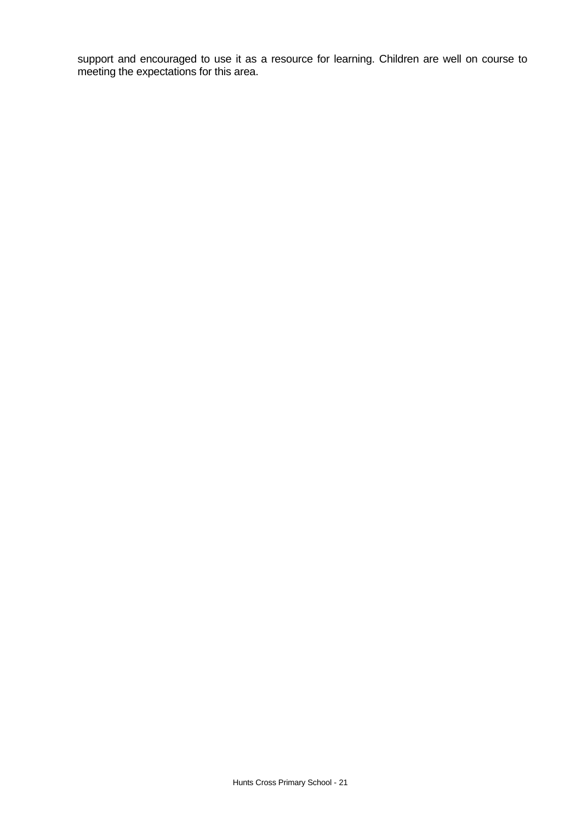support and encouraged to use it as a resource for learning. Children are well on course to meeting the expectations for this area.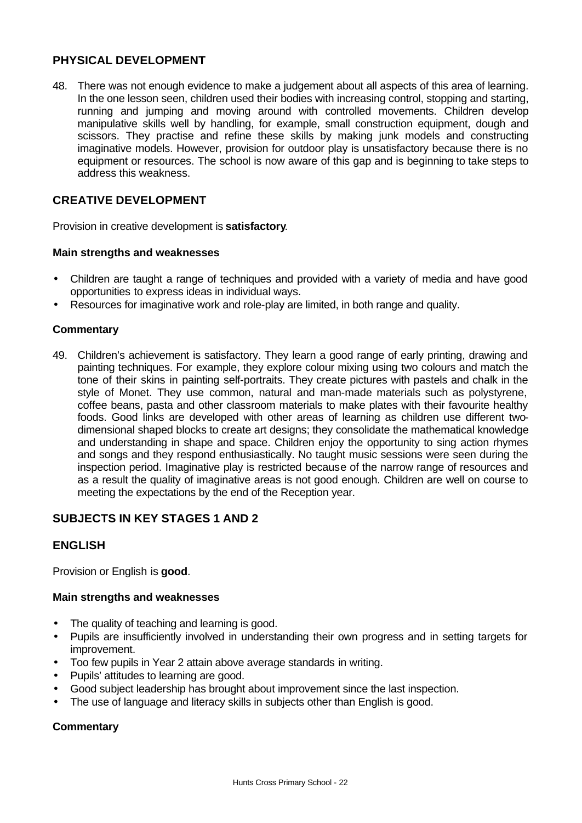# **PHYSICAL DEVELOPMENT**

48. There was not enough evidence to make a judgement about all aspects of this area of learning. In the one lesson seen, children used their bodies with increasing control, stopping and starting, running and jumping and moving around with controlled movements. Children develop manipulative skills well by handling, for example, small construction equipment, dough and scissors. They practise and refine these skills by making junk models and constructing imaginative models. However, provision for outdoor play is unsatisfactory because there is no equipment or resources. The school is now aware of this gap and is beginning to take steps to address this weakness.

# **CREATIVE DEVELOPMENT**

Provision in creative development is **satisfactory**.

#### **Main strengths and weaknesses**

- Children are taught a range of techniques and provided with a variety of media and have good opportunities to express ideas in individual ways.
- Resources for imaginative work and role-play are limited, in both range and quality.

#### **Commentary**

49. Children's achievement is satisfactory. They learn a good range of early printing, drawing and painting techniques. For example, they explore colour mixing using two colours and match the tone of their skins in painting self-portraits. They create pictures with pastels and chalk in the style of Monet. They use common, natural and man-made materials such as polystyrene, coffee beans, pasta and other classroom materials to make plates with their favourite healthy foods. Good links are developed with other areas of learning as children use different twodimensional shaped blocks to create art designs; they consolidate the mathematical knowledge and understanding in shape and space. Children enjoy the opportunity to sing action rhymes and songs and they respond enthusiastically. No taught music sessions were seen during the inspection period. Imaginative play is restricted because of the narrow range of resources and as a result the quality of imaginative areas is not good enough. Children are well on course to meeting the expectations by the end of the Reception year.

# **SUBJECTS IN KEY STAGES 1 AND 2**

# **ENGLISH**

Provision or English is **good**.

#### **Main strengths and weaknesses**

- The quality of teaching and learning is good.
- Pupils are insufficiently involved in understanding their own progress and in setting targets for improvement.
- Too few pupils in Year 2 attain above average standards in writing.
- Pupils' attitudes to learning are good.
- Good subject leadership has brought about improvement since the last inspection.
- The use of language and literacy skills in subjects other than English is good.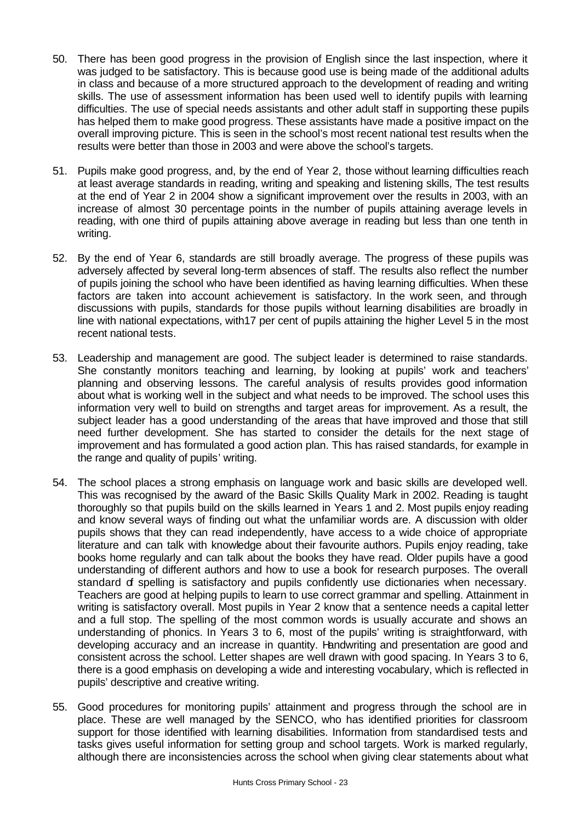- 50. There has been good progress in the provision of English since the last inspection, where it was judged to be satisfactory. This is because good use is being made of the additional adults in class and because of a more structured approach to the development of reading and writing skills. The use of assessment information has been used well to identify pupils with learning difficulties. The use of special needs assistants and other adult staff in supporting these pupils has helped them to make good progress. These assistants have made a positive impact on the overall improving picture. This is seen in the school's most recent national test results when the results were better than those in 2003 and were above the school's targets.
- 51. Pupils make good progress, and, by the end of Year 2, those without learning difficulties reach at least average standards in reading, writing and speaking and listening skills, The test results at the end of Year 2 in 2004 show a significant improvement over the results in 2003, with an increase of almost 30 percentage points in the number of pupils attaining average levels in reading, with one third of pupils attaining above average in reading but less than one tenth in writing.
- 52. By the end of Year 6, standards are still broadly average. The progress of these pupils was adversely affected by several long-term absences of staff. The results also reflect the number of pupils joining the school who have been identified as having learning difficulties. When these factors are taken into account achievement is satisfactory. In the work seen, and through discussions with pupils, standards for those pupils without learning disabilities are broadly in line with national expectations, with17 per cent of pupils attaining the higher Level 5 in the most recent national tests.
- 53. Leadership and management are good. The subject leader is determined to raise standards. She constantly monitors teaching and learning, by looking at pupils' work and teachers' planning and observing lessons. The careful analysis of results provides good information about what is working well in the subject and what needs to be improved. The school uses this information very well to build on strengths and target areas for improvement. As a result, the subject leader has a good understanding of the areas that have improved and those that still need further development. She has started to consider the details for the next stage of improvement and has formulated a good action plan. This has raised standards, for example in the range and quality of pupils' writing.
- 54. The school places a strong emphasis on language work and basic skills are developed well. This was recognised by the award of the Basic Skills Quality Mark in 2002. Reading is taught thoroughly so that pupils build on the skills learned in Years 1 and 2. Most pupils enjoy reading and know several ways of finding out what the unfamiliar words are. A discussion with older pupils shows that they can read independently, have access to a wide choice of appropriate literature and can talk with knowledge about their favourite authors. Pupils enjoy reading, take books home regularly and can talk about the books they have read. Older pupils have a good understanding of different authors and how to use a book for research purposes. The overall standard of spelling is satisfactory and pupils confidently use dictionaries when necessary. Teachers are good at helping pupils to learn to use correct grammar and spelling. Attainment in writing is satisfactory overall. Most pupils in Year 2 know that a sentence needs a capital letter and a full stop. The spelling of the most common words is usually accurate and shows an understanding of phonics. In Years 3 to 6, most of the pupils' writing is straightforward, with developing accuracy and an increase in quantity. Handwriting and presentation are good and consistent across the school. Letter shapes are well drawn with good spacing. In Years 3 to 6, there is a good emphasis on developing a wide and interesting vocabulary, which is reflected in pupils' descriptive and creative writing.
- 55. Good procedures for monitoring pupils' attainment and progress through the school are in place. These are well managed by the SENCO, who has identified priorities for classroom support for those identified with learning disabilities. Information from standardised tests and tasks gives useful information for setting group and school targets. Work is marked regularly, although there are inconsistencies across the school when giving clear statements about what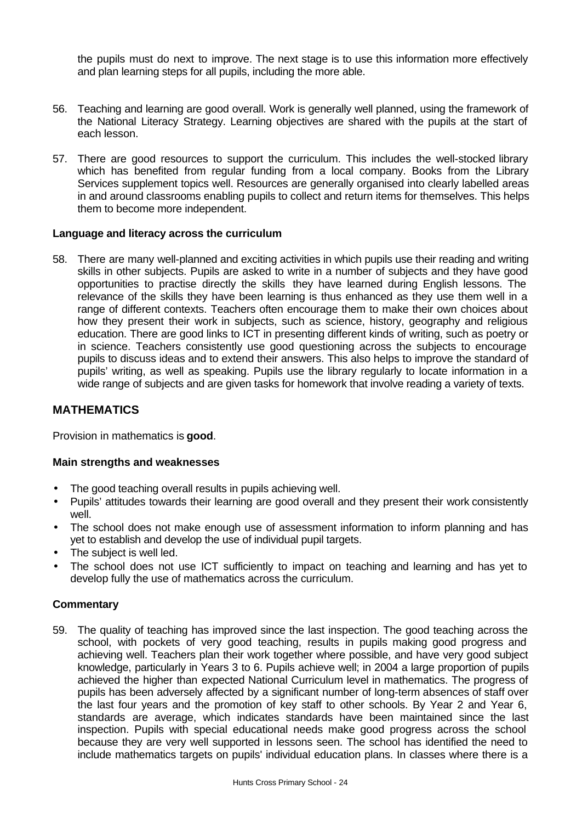the pupils must do next to improve. The next stage is to use this information more effectively and plan learning steps for all pupils, including the more able.

- 56. Teaching and learning are good overall. Work is generally well planned, using the framework of the National Literacy Strategy. Learning objectives are shared with the pupils at the start of each lesson.
- 57. There are good resources to support the curriculum. This includes the well-stocked library which has benefited from regular funding from a local company. Books from the Library Services supplement topics well. Resources are generally organised into clearly labelled areas in and around classrooms enabling pupils to collect and return items for themselves. This helps them to become more independent.

#### **Language and literacy across the curriculum**

58. There are many well-planned and exciting activities in which pupils use their reading and writing skills in other subjects. Pupils are asked to write in a number of subjects and they have good opportunities to practise directly the skills they have learned during English lessons. The relevance of the skills they have been learning is thus enhanced as they use them well in a range of different contexts. Teachers often encourage them to make their own choices about how they present their work in subjects, such as science, history, geography and religious education. There are good links to ICT in presenting different kinds of writing, such as poetry or in science. Teachers consistently use good questioning across the subjects to encourage pupils to discuss ideas and to extend their answers. This also helps to improve the standard of pupils' writing, as well as speaking. Pupils use the library regularly to locate information in a wide range of subjects and are given tasks for homework that involve reading a variety of texts.

#### **MATHEMATICS**

Provision in mathematics is **good**.

#### **Main strengths and weaknesses**

- The good teaching overall results in pupils achieving well.
- Pupils' attitudes towards their learning are good overall and they present their work consistently well.
- The school does not make enough use of assessment information to inform planning and has yet to establish and develop the use of individual pupil targets.
- The subject is well led.
- The school does not use ICT sufficiently to impact on teaching and learning and has yet to develop fully the use of mathematics across the curriculum.

#### **Commentary**

59. The quality of teaching has improved since the last inspection. The good teaching across the school, with pockets of very good teaching, results in pupils making good progress and achieving well. Teachers plan their work together where possible, and have very good subject knowledge, particularly in Years 3 to 6. Pupils achieve well; in 2004 a large proportion of pupils achieved the higher than expected National Curriculum level in mathematics. The progress of pupils has been adversely affected by a significant number of long-term absences of staff over the last four years and the promotion of key staff to other schools. By Year 2 and Year 6, standards are average, which indicates standards have been maintained since the last inspection. Pupils with special educational needs make good progress across the school because they are very well supported in lessons seen. The school has identified the need to include mathematics targets on pupils' individual education plans. In classes where there is a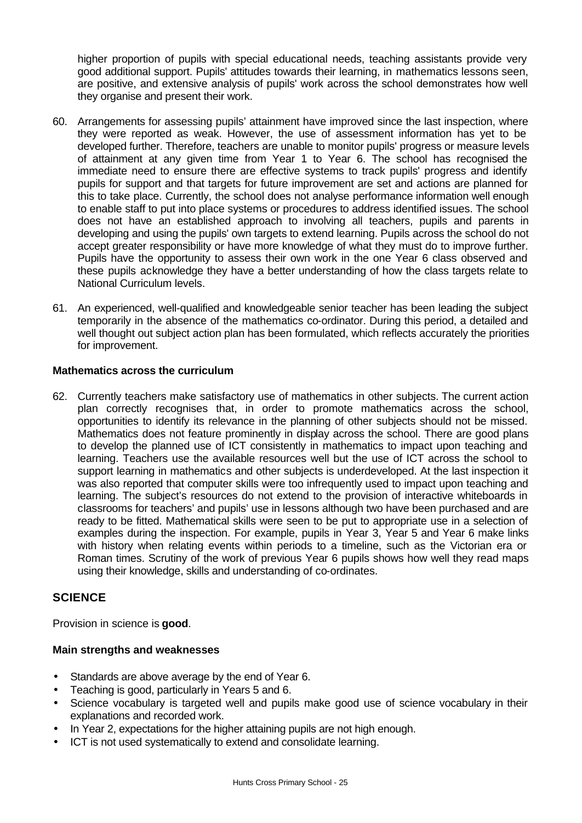higher proportion of pupils with special educational needs, teaching assistants provide very good additional support. Pupils' attitudes towards their learning, in mathematics lessons seen, are positive, and extensive analysis of pupils' work across the school demonstrates how well they organise and present their work.

- 60. Arrangements for assessing pupils' attainment have improved since the last inspection, where they were reported as weak. However, the use of assessment information has yet to be developed further. Therefore, teachers are unable to monitor pupils' progress or measure levels of attainment at any given time from Year 1 to Year 6. The school has recognised the immediate need to ensure there are effective systems to track pupils' progress and identify pupils for support and that targets for future improvement are set and actions are planned for this to take place. Currently, the school does not analyse performance information well enough to enable staff to put into place systems or procedures to address identified issues. The school does not have an established approach to involving all teachers, pupils and parents in developing and using the pupils' own targets to extend learning. Pupils across the school do not accept greater responsibility or have more knowledge of what they must do to improve further. Pupils have the opportunity to assess their own work in the one Year 6 class observed and these pupils acknowledge they have a better understanding of how the class targets relate to National Curriculum levels.
- 61. An experienced, well-qualified and knowledgeable senior teacher has been leading the subject temporarily in the absence of the mathematics co-ordinator. During this period, a detailed and well thought out subject action plan has been formulated, which reflects accurately the priorities for improvement.

#### **Mathematics across the curriculum**

62. Currently teachers make satisfactory use of mathematics in other subjects. The current action plan correctly recognises that, in order to promote mathematics across the school, opportunities to identify its relevance in the planning of other subjects should not be missed. Mathematics does not feature prominently in display across the school. There are good plans to develop the planned use of ICT consistently in mathematics to impact upon teaching and learning. Teachers use the available resources well but the use of ICT across the school to support learning in mathematics and other subjects is underdeveloped. At the last inspection it was also reported that computer skills were too infrequently used to impact upon teaching and learning. The subject's resources do not extend to the provision of interactive whiteboards in classrooms for teachers' and pupils' use in lessons although two have been purchased and are ready to be fitted. Mathematical skills were seen to be put to appropriate use in a selection of examples during the inspection. For example, pupils in Year 3, Year 5 and Year 6 make links with history when relating events within periods to a timeline, such as the Victorian era or Roman times. Scrutiny of the work of previous Year 6 pupils shows how well they read maps using their knowledge, skills and understanding of co-ordinates.

# **SCIENCE**

Provision in science is **good**.

#### **Main strengths and weaknesses**

- Standards are above average by the end of Year 6.
- Teaching is good, particularly in Years 5 and 6.
- Science vocabulary is targeted well and pupils make good use of science vocabulary in their explanations and recorded work.
- In Year 2, expectations for the higher attaining pupils are not high enough.
- ICT is not used systematically to extend and consolidate learning.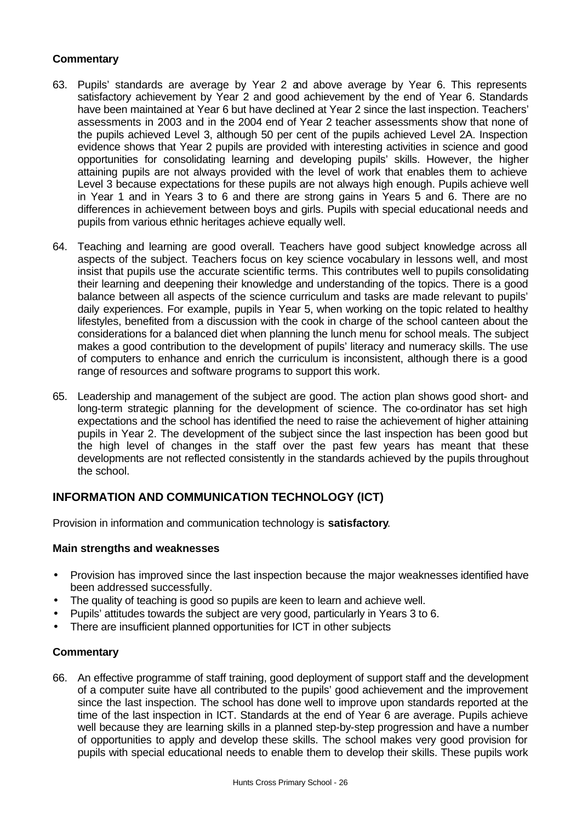# **Commentary**

- 63. Pupils' standards are average by Year 2 and above average by Year 6. This represents satisfactory achievement by Year 2 and good achievement by the end of Year 6. Standards have been maintained at Year 6 but have declined at Year 2 since the last inspection. Teachers' assessments in 2003 and in the 2004 end of Year 2 teacher assessments show that none of the pupils achieved Level 3, although 50 per cent of the pupils achieved Level 2A. Inspection evidence shows that Year 2 pupils are provided with interesting activities in science and good opportunities for consolidating learning and developing pupils' skills. However, the higher attaining pupils are not always provided with the level of work that enables them to achieve Level 3 because expectations for these pupils are not always high enough. Pupils achieve well in Year 1 and in Years 3 to 6 and there are strong gains in Years 5 and 6. There are no differences in achievement between boys and girls. Pupils with special educational needs and pupils from various ethnic heritages achieve equally well.
- 64. Teaching and learning are good overall. Teachers have good subject knowledge across all aspects of the subject. Teachers focus on key science vocabulary in lessons well, and most insist that pupils use the accurate scientific terms. This contributes well to pupils consolidating their learning and deepening their knowledge and understanding of the topics. There is a good balance between all aspects of the science curriculum and tasks are made relevant to pupils' daily experiences. For example, pupils in Year 5, when working on the topic related to healthy lifestyles, benefited from a discussion with the cook in charge of the school canteen about the considerations for a balanced diet when planning the lunch menu for school meals. The subject makes a good contribution to the development of pupils' literacy and numeracy skills. The use of computers to enhance and enrich the curriculum is inconsistent, although there is a good range of resources and software programs to support this work.
- 65. Leadership and management of the subject are good. The action plan shows good short- and long-term strategic planning for the development of science. The co-ordinator has set high expectations and the school has identified the need to raise the achievement of higher attaining pupils in Year 2. The development of the subject since the last inspection has been good but the high level of changes in the staff over the past few years has meant that these developments are not reflected consistently in the standards achieved by the pupils throughout the school.

# **INFORMATION AND COMMUNICATION TECHNOLOGY (ICT)**

Provision in information and communication technology is **satisfactory**.

#### **Main strengths and weaknesses**

- Provision has improved since the last inspection because the major weaknesses identified have been addressed successfully.
- The quality of teaching is good so pupils are keen to learn and achieve well.
- Pupils' attitudes towards the subject are very good, particularly in Years 3 to 6.
- There are insufficient planned opportunities for ICT in other subjects

#### **Commentary**

66. An effective programme of staff training, good deployment of support staff and the development of a computer suite have all contributed to the pupils' good achievement and the improvement since the last inspection. The school has done well to improve upon standards reported at the time of the last inspection in ICT. Standards at the end of Year 6 are average. Pupils achieve well because they are learning skills in a planned step-by-step progression and have a number of opportunities to apply and develop these skills. The school makes very good provision for pupils with special educational needs to enable them to develop their skills. These pupils work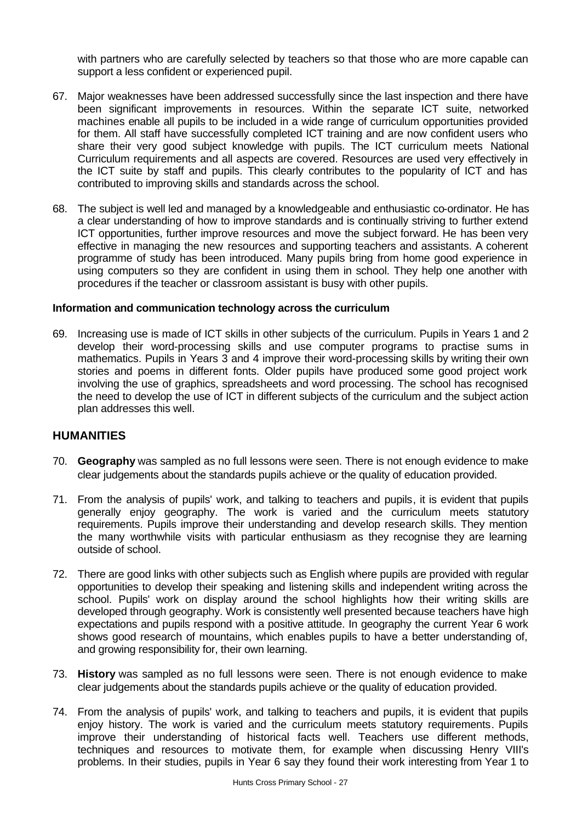with partners who are carefully selected by teachers so that those who are more capable can support a less confident or experienced pupil.

- 67. Major weaknesses have been addressed successfully since the last inspection and there have been significant improvements in resources. Within the separate ICT suite, networked machines enable all pupils to be included in a wide range of curriculum opportunities provided for them. All staff have successfully completed ICT training and are now confident users who share their very good subject knowledge with pupils. The ICT curriculum meets National Curriculum requirements and all aspects are covered. Resources are used very effectively in the ICT suite by staff and pupils. This clearly contributes to the popularity of ICT and has contributed to improving skills and standards across the school.
- 68. The subject is well led and managed by a knowledgeable and enthusiastic co-ordinator. He has a clear understanding of how to improve standards and is continually striving to further extend ICT opportunities, further improve resources and move the subject forward. He has been very effective in managing the new resources and supporting teachers and assistants. A coherent programme of study has been introduced. Many pupils bring from home good experience in using computers so they are confident in using them in school. They help one another with procedures if the teacher or classroom assistant is busy with other pupils.

#### **Information and communication technology across the curriculum**

69. Increasing use is made of ICT skills in other subjects of the curriculum. Pupils in Years 1 and 2 develop their word-processing skills and use computer programs to practise sums in mathematics. Pupils in Years 3 and 4 improve their word-processing skills by writing their own stories and poems in different fonts. Older pupils have produced some good project work involving the use of graphics, spreadsheets and word processing. The school has recognised the need to develop the use of ICT in different subjects of the curriculum and the subject action plan addresses this well.

## **HUMANITIES**

- 70. **Geography** was sampled as no full lessons were seen. There is not enough evidence to make clear judgements about the standards pupils achieve or the quality of education provided.
- 71. From the analysis of pupils' work, and talking to teachers and pupils, it is evident that pupils generally enjoy geography. The work is varied and the curriculum meets statutory requirements. Pupils improve their understanding and develop research skills. They mention the many worthwhile visits with particular enthusiasm as they recognise they are learning outside of school.
- 72. There are good links with other subjects such as English where pupils are provided with regular opportunities to develop their speaking and listening skills and independent writing across the school. Pupils' work on display around the school highlights how their writing skills are developed through geography. Work is consistently well presented because teachers have high expectations and pupils respond with a positive attitude. In geography the current Year 6 work shows good research of mountains, which enables pupils to have a better understanding of, and growing responsibility for, their own learning.
- 73. **History** was sampled as no full lessons were seen. There is not enough evidence to make clear judgements about the standards pupils achieve or the quality of education provided.
- 74. From the analysis of pupils' work, and talking to teachers and pupils, it is evident that pupils enjoy history. The work is varied and the curriculum meets statutory requirements. Pupils improve their understanding of historical facts well. Teachers use different methods, techniques and resources to motivate them, for example when discussing Henry VIII's problems. In their studies, pupils in Year 6 say they found their work interesting from Year 1 to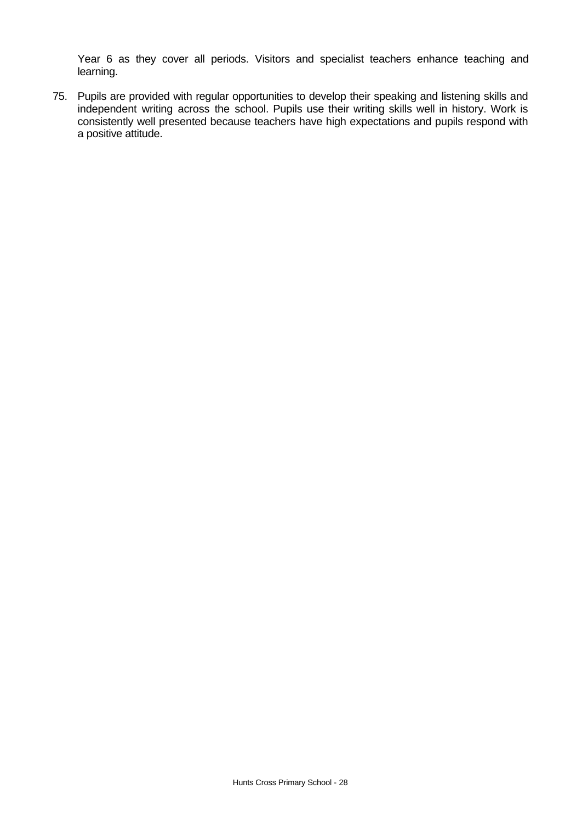Year 6 as they cover all periods. Visitors and specialist teachers enhance teaching and learning.

75. Pupils are provided with regular opportunities to develop their speaking and listening skills and independent writing across the school. Pupils use their writing skills well in history. Work is consistently well presented because teachers have high expectations and pupils respond with a positive attitude.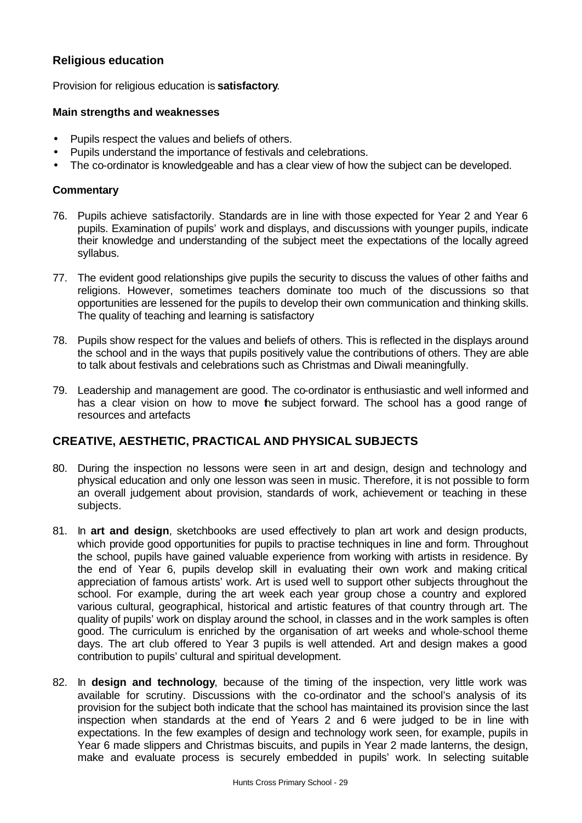# **Religious education**

Provision for religious education is **satisfactory**.

#### **Main strengths and weaknesses**

- Pupils respect the values and beliefs of others.
- Pupils understand the importance of festivals and celebrations.
- The co-ordinator is knowledgeable and has a clear view of how the subject can be developed.

#### **Commentary**

- 76. Pupils achieve satisfactorily. Standards are in line with those expected for Year 2 and Year 6 pupils. Examination of pupils' work and displays, and discussions with younger pupils, indicate their knowledge and understanding of the subject meet the expectations of the locally agreed syllabus.
- 77. The evident good relationships give pupils the security to discuss the values of other faiths and religions. However, sometimes teachers dominate too much of the discussions so that opportunities are lessened for the pupils to develop their own communication and thinking skills. The quality of teaching and learning is satisfactory
- 78. Pupils show respect for the values and beliefs of others. This is reflected in the displays around the school and in the ways that pupils positively value the contributions of others. They are able to talk about festivals and celebrations such as Christmas and Diwali meaningfully.
- 79. Leadership and management are good. The co-ordinator is enthusiastic and well informed and has a clear vision on how to move he subject forward. The school has a good range of resources and artefacts

# **CREATIVE, AESTHETIC, PRACTICAL AND PHYSICAL SUBJECTS**

- 80. During the inspection no lessons were seen in art and design, design and technology and physical education and only one lesson was seen in music. Therefore, it is not possible to form an overall judgement about provision, standards of work, achievement or teaching in these subjects.
- 81. In **art and design**, sketchbooks are used effectively to plan art work and design products, which provide good opportunities for pupils to practise techniques in line and form. Throughout the school, pupils have gained valuable experience from working with artists in residence. By the end of Year 6, pupils develop skill in evaluating their own work and making critical appreciation of famous artists' work. Art is used well to support other subjects throughout the school. For example, during the art week each year group chose a country and explored various cultural, geographical, historical and artistic features of that country through art. The quality of pupils' work on display around the school, in classes and in the work samples is often good. The curriculum is enriched by the organisation of art weeks and whole-school theme days. The art club offered to Year 3 pupils is well attended. Art and design makes a good contribution to pupils' cultural and spiritual development.
- 82. In **design and technology**, because of the timing of the inspection, very little work was available for scrutiny. Discussions with the co-ordinator and the school's analysis of its provision for the subject both indicate that the school has maintained its provision since the last inspection when standards at the end of Years 2 and 6 were judged to be in line with expectations. In the few examples of design and technology work seen, for example, pupils in Year 6 made slippers and Christmas biscuits, and pupils in Year 2 made lanterns, the design, make and evaluate process is securely embedded in pupils' work. In selecting suitable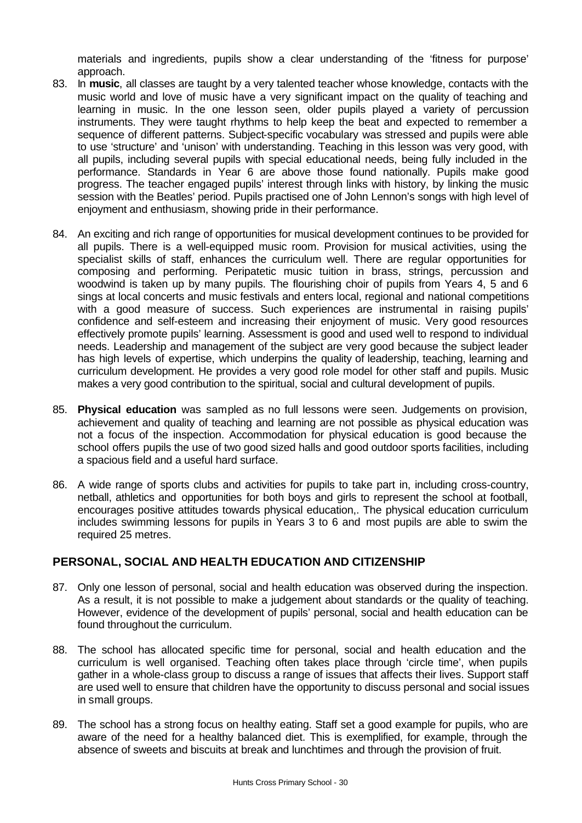materials and ingredients, pupils show a clear understanding of the 'fitness for purpose' approach.

- 83. In **music**, all classes are taught by a very talented teacher whose knowledge, contacts with the music world and love of music have a very significant impact on the quality of teaching and learning in music. In the one lesson seen, older pupils played a variety of percussion instruments. They were taught rhythms to help keep the beat and expected to remember a sequence of different patterns. Subject-specific vocabulary was stressed and pupils were able to use 'structure' and 'unison' with understanding. Teaching in this lesson was very good, with all pupils, including several pupils with special educational needs, being fully included in the performance. Standards in Year 6 are above those found nationally. Pupils make good progress. The teacher engaged pupils' interest through links with history, by linking the music session with the Beatles' period. Pupils practised one of John Lennon's songs with high level of enjoyment and enthusiasm, showing pride in their performance.
- 84. An exciting and rich range of opportunities for musical development continues to be provided for all pupils. There is a well-equipped music room. Provision for musical activities, using the specialist skills of staff, enhances the curriculum well. There are regular opportunities for composing and performing. Peripatetic music tuition in brass, strings, percussion and woodwind is taken up by many pupils. The flourishing choir of pupils from Years 4, 5 and 6 sings at local concerts and music festivals and enters local, regional and national competitions with a good measure of success. Such experiences are instrumental in raising pupils' confidence and self-esteem and increasing their enjoyment of music. Very good resources effectively promote pupils' learning. Assessment is good and used well to respond to individual needs. Leadership and management of the subject are very good because the subject leader has high levels of expertise, which underpins the quality of leadership, teaching, learning and curriculum development. He provides a very good role model for other staff and pupils. Music makes a very good contribution to the spiritual, social and cultural development of pupils.
- 85. **Physical education** was sampled as no full lessons were seen. Judgements on provision, achievement and quality of teaching and learning are not possible as physical education was not a focus of the inspection. Accommodation for physical education is good because the school offers pupils the use of two good sized halls and good outdoor sports facilities, including a spacious field and a useful hard surface.
- 86. A wide range of sports clubs and activities for pupils to take part in, including cross-country, netball, athletics and opportunities for both boys and girls to represent the school at football, encourages positive attitudes towards physical education,. The physical education curriculum includes swimming lessons for pupils in Years 3 to 6 and most pupils are able to swim the required 25 metres.

# **PERSONAL, SOCIAL AND HEALTH EDUCATION AND CITIZENSHIP**

- 87. Only one lesson of personal, social and health education was observed during the inspection. As a result, it is not possible to make a judgement about standards or the quality of teaching. However, evidence of the development of pupils' personal, social and health education can be found throughout the curriculum.
- 88. The school has allocated specific time for personal, social and health education and the curriculum is well organised. Teaching often takes place through 'circle time', when pupils gather in a whole-class group to discuss a range of issues that affects their lives. Support staff are used well to ensure that children have the opportunity to discuss personal and social issues in small groups.
- 89. The school has a strong focus on healthy eating. Staff set a good example for pupils, who are aware of the need for a healthy balanced diet. This is exemplified, for example, through the absence of sweets and biscuits at break and lunchtimes and through the provision of fruit.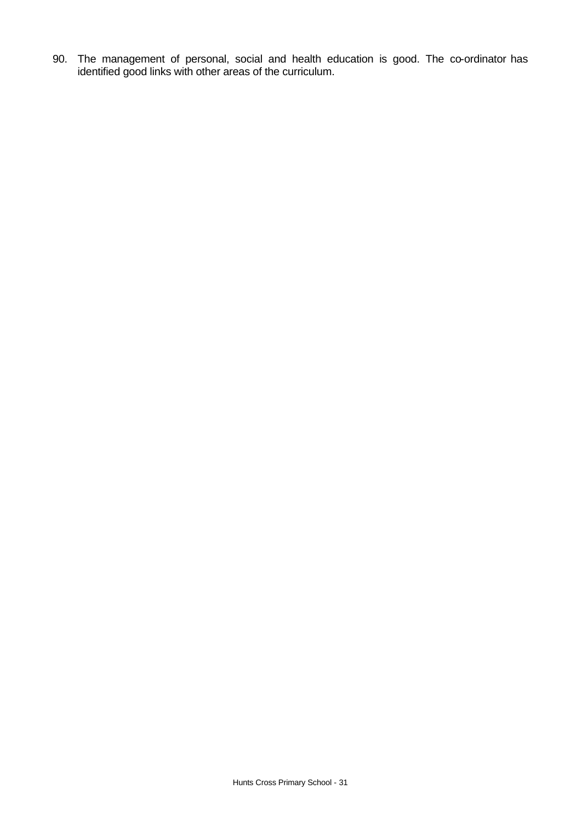90. The management of personal, social and health education is good. The co-ordinator has identified good links with other areas of the curriculum.